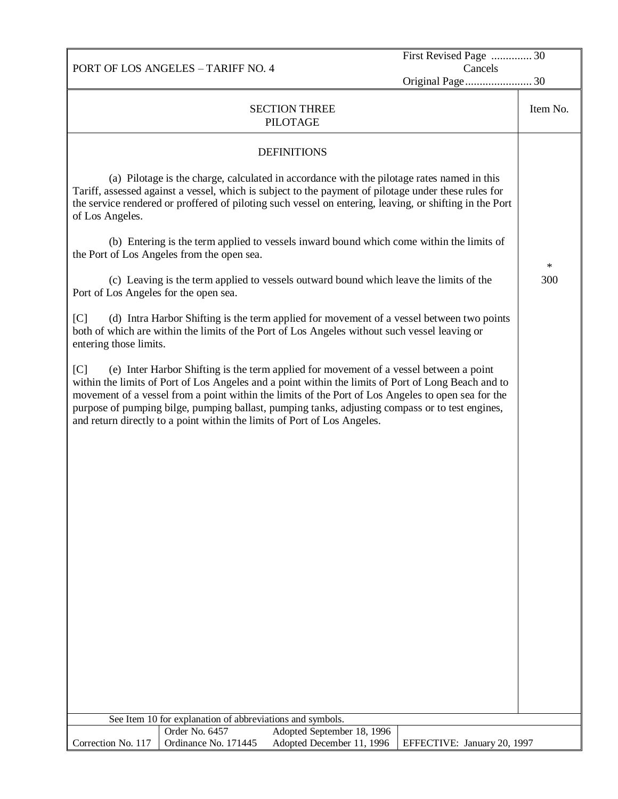PORT OF LOS ANGELES – TARIFF NO. 4 First Revised Page .............. 30 Cancels Original Page....................... 30 SECTION THREE PILOTAGE Item No. **DEFINITIONS** (a) Pilotage is the charge, calculated in accordance with the pilotage rates named in this Tariff, assessed against a vessel, which is subject to the payment of pilotage under these rules for the service rendered or proffered of piloting such vessel on entering, leaving, or shifting in the Port of Los Angeles. (b) Entering is the term applied to vessels inward bound which come within the limits of the Port of Los Angeles from the open sea. (c) Leaving is the term applied to vessels outward bound which leave the limits of the Port of Los Angeles for the open sea. [C] (d) Intra Harbor Shifting is the term applied for movement of a vessel between two points both of which are within the limits of the Port of Los Angeles without such vessel leaving or entering those limits. [C] (e) Inter Harbor Shifting is the term applied for movement of a vessel between a point within the limits of Port of Los Angeles and a point within the limits of Port of Long Beach and to movement of a vessel from a point within the limits of the Port of Los Angeles to open sea for the purpose of pumping bilge, pumping ballast, pumping tanks, adjusting compass or to test engines, and return directly to a point within the limits of Port of Los Angeles. \* 300 See Item 10 for explanation of abbreviations and symbols.

Order No. 6457 Adopted September 18, 1996

Ordinance No. 171445 Adopted December 11, 1996 | EFFECTIVE: January 20, 1997

Correction No. 117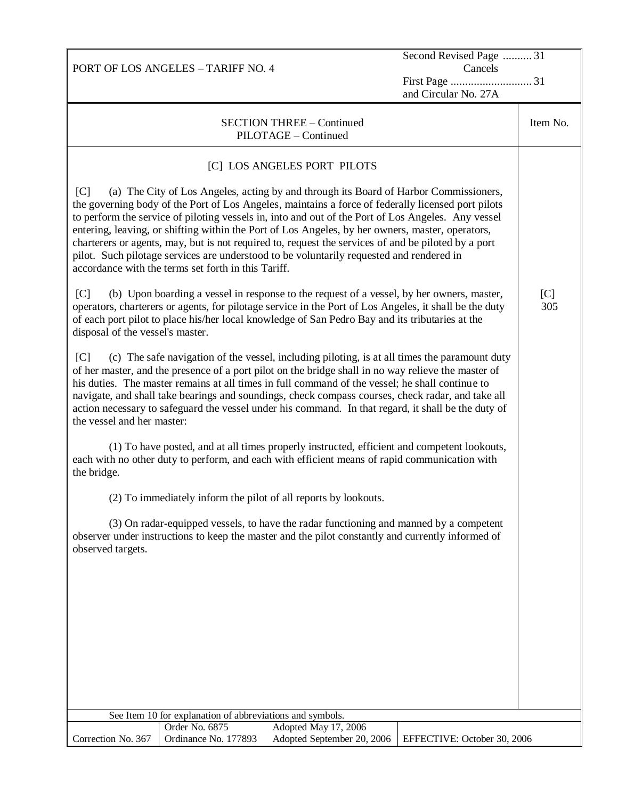|                                                                                                                                                                                                                                                                                                                                                                                                                                                                                                                                                                                                                                                                        | Second Revised Page  31     |            |
|------------------------------------------------------------------------------------------------------------------------------------------------------------------------------------------------------------------------------------------------------------------------------------------------------------------------------------------------------------------------------------------------------------------------------------------------------------------------------------------------------------------------------------------------------------------------------------------------------------------------------------------------------------------------|-----------------------------|------------|
| PORT OF LOS ANGELES - TARIFF NO. 4                                                                                                                                                                                                                                                                                                                                                                                                                                                                                                                                                                                                                                     | Cancels                     |            |
|                                                                                                                                                                                                                                                                                                                                                                                                                                                                                                                                                                                                                                                                        | and Circular No. 27A        |            |
| <b>SECTION THREE - Continued</b><br>PILOTAGE - Continued                                                                                                                                                                                                                                                                                                                                                                                                                                                                                                                                                                                                               |                             | Item No.   |
| [C] LOS ANGELES PORT PILOTS                                                                                                                                                                                                                                                                                                                                                                                                                                                                                                                                                                                                                                            |                             |            |
| (a) The City of Los Angeles, acting by and through its Board of Harbor Commissioners,<br>[C]<br>the governing body of the Port of Los Angeles, maintains a force of federally licensed port pilots<br>to perform the service of piloting vessels in, into and out of the Port of Los Angeles. Any vessel<br>entering, leaving, or shifting within the Port of Los Angeles, by her owners, master, operators,<br>charterers or agents, may, but is not required to, request the services of and be piloted by a port<br>pilot. Such pilotage services are understood to be voluntarily requested and rendered in<br>accordance with the terms set forth in this Tariff. |                             |            |
| C <br>(b) Upon boarding a vessel in response to the request of a vessel, by her owners, master,<br>operators, charterers or agents, for pilotage service in the Port of Los Angeles, it shall be the duty<br>of each port pilot to place his/her local knowledge of San Pedro Bay and its tributaries at the<br>disposal of the vessel's master.                                                                                                                                                                                                                                                                                                                       |                             | [C]<br>305 |
| (c) The safe navigation of the vessel, including piloting, is at all times the paramount duty<br>[C]<br>of her master, and the presence of a port pilot on the bridge shall in no way relieve the master of<br>his duties. The master remains at all times in full command of the vessel; he shall continue to<br>navigate, and shall take bearings and soundings, check compass courses, check radar, and take all<br>action necessary to safeguard the vessel under his command. In that regard, it shall be the duty of<br>the vessel and her master:                                                                                                               |                             |            |
| (1) To have posted, and at all times properly instructed, efficient and competent lookouts,<br>each with no other duty to perform, and each with efficient means of rapid communication with<br>the bridge.                                                                                                                                                                                                                                                                                                                                                                                                                                                            |                             |            |
| (2) To immediately inform the pilot of all reports by lookouts.                                                                                                                                                                                                                                                                                                                                                                                                                                                                                                                                                                                                        |                             |            |
| (3) On radar-equipped vessels, to have the radar functioning and manned by a competent<br>observer under instructions to keep the master and the pilot constantly and currently informed of<br>observed targets.                                                                                                                                                                                                                                                                                                                                                                                                                                                       |                             |            |
|                                                                                                                                                                                                                                                                                                                                                                                                                                                                                                                                                                                                                                                                        |                             |            |
|                                                                                                                                                                                                                                                                                                                                                                                                                                                                                                                                                                                                                                                                        |                             |            |
|                                                                                                                                                                                                                                                                                                                                                                                                                                                                                                                                                                                                                                                                        |                             |            |
|                                                                                                                                                                                                                                                                                                                                                                                                                                                                                                                                                                                                                                                                        |                             |            |
| See Item 10 for explanation of abbreviations and symbols.                                                                                                                                                                                                                                                                                                                                                                                                                                                                                                                                                                                                              |                             |            |
| Order No. 6875<br>Adopted May 17, 2006<br>Adopted September 20, 2006<br>Correction No. 367<br>Ordinance No. 177893                                                                                                                                                                                                                                                                                                                                                                                                                                                                                                                                                     | EFFECTIVE: October 30, 2006 |            |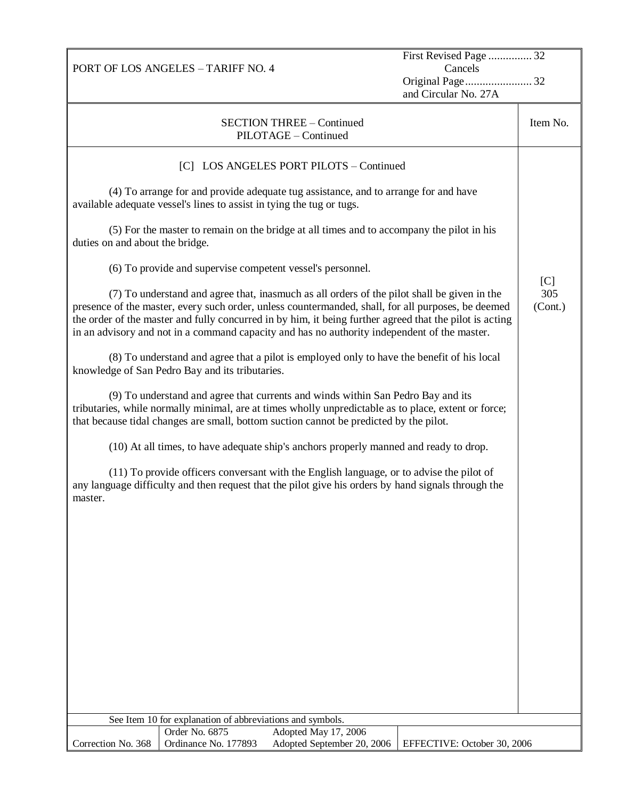|                                                                                                                                                                                                                                                                                                                                                                                                              | First Revised Page  32      |                |
|--------------------------------------------------------------------------------------------------------------------------------------------------------------------------------------------------------------------------------------------------------------------------------------------------------------------------------------------------------------------------------------------------------------|-----------------------------|----------------|
| PORT OF LOS ANGELES - TARIFF NO. 4                                                                                                                                                                                                                                                                                                                                                                           | Cancels                     |                |
|                                                                                                                                                                                                                                                                                                                                                                                                              | and Circular No. 27A        |                |
|                                                                                                                                                                                                                                                                                                                                                                                                              |                             |                |
| <b>SECTION THREE - Continued</b>                                                                                                                                                                                                                                                                                                                                                                             |                             | Item No.       |
| PILOTAGE - Continued                                                                                                                                                                                                                                                                                                                                                                                         |                             |                |
| [C] LOS ANGELES PORT PILOTS - Continued                                                                                                                                                                                                                                                                                                                                                                      |                             |                |
| (4) To arrange for and provide adequate tug assistance, and to arrange for and have<br>available adequate vessel's lines to assist in tying the tug or tugs.                                                                                                                                                                                                                                                 |                             |                |
| (5) For the master to remain on the bridge at all times and to accompany the pilot in his<br>duties on and about the bridge.                                                                                                                                                                                                                                                                                 |                             |                |
| (6) To provide and supervise competent vessel's personnel.                                                                                                                                                                                                                                                                                                                                                   |                             | [C]            |
| (7) To understand and agree that, inasmuch as all orders of the pilot shall be given in the<br>presence of the master, every such order, unless countermanded, shall, for all purposes, be deemed<br>the order of the master and fully concurred in by him, it being further agreed that the pilot is acting<br>in an advisory and not in a command capacity and has no authority independent of the master. |                             | 305<br>(Cont.) |
| (8) To understand and agree that a pilot is employed only to have the benefit of his local<br>knowledge of San Pedro Bay and its tributaries.                                                                                                                                                                                                                                                                |                             |                |
| (9) To understand and agree that currents and winds within San Pedro Bay and its<br>tributaries, while normally minimal, are at times wholly unpredictable as to place, extent or force;<br>that because tidal changes are small, bottom suction cannot be predicted by the pilot.                                                                                                                           |                             |                |
| (10) At all times, to have adequate ship's anchors properly manned and ready to drop.                                                                                                                                                                                                                                                                                                                        |                             |                |
| (11) To provide officers conversant with the English language, or to advise the pilot of<br>any language difficulty and then request that the pilot give his orders by hand signals through the<br>master.                                                                                                                                                                                                   |                             |                |
|                                                                                                                                                                                                                                                                                                                                                                                                              |                             |                |
|                                                                                                                                                                                                                                                                                                                                                                                                              |                             |                |
|                                                                                                                                                                                                                                                                                                                                                                                                              |                             |                |
|                                                                                                                                                                                                                                                                                                                                                                                                              |                             |                |
|                                                                                                                                                                                                                                                                                                                                                                                                              |                             |                |
|                                                                                                                                                                                                                                                                                                                                                                                                              |                             |                |
|                                                                                                                                                                                                                                                                                                                                                                                                              |                             |                |
|                                                                                                                                                                                                                                                                                                                                                                                                              |                             |                |
| See Item 10 for explanation of abbreviations and symbols.                                                                                                                                                                                                                                                                                                                                                    |                             |                |
| Order No. 6875<br>Adopted May 17, 2006                                                                                                                                                                                                                                                                                                                                                                       |                             |                |
| Ordinance No. 177893<br>Adopted September 20, 2006<br>Correction No. 368                                                                                                                                                                                                                                                                                                                                     | EFFECTIVE: October 30, 2006 |                |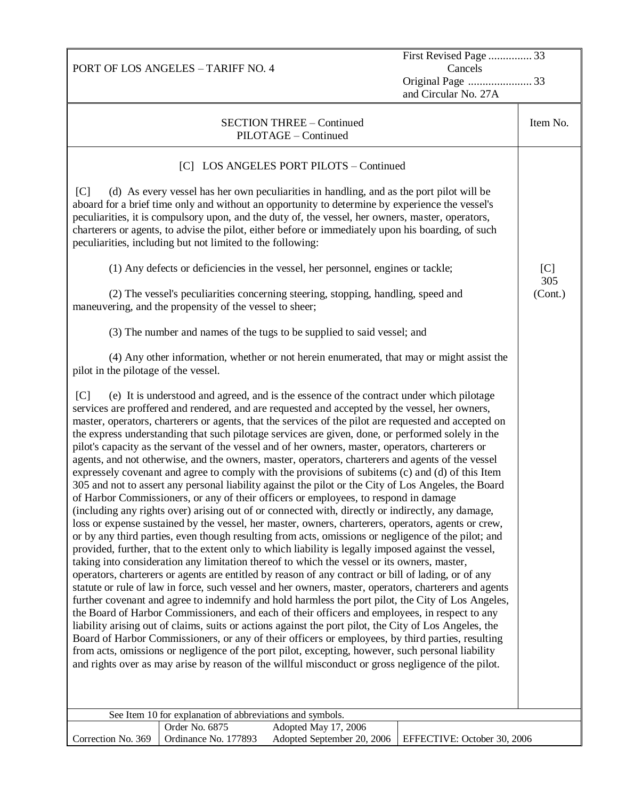|                                                                                                                                                                                                                                                                                                                                                                                                                                                                                                                                                                                                                                                                                                                                                                                                                                                                                                                                                                                                                                                                                                                                                                                                                                                                                                                                                                                                                                                                                                                                                                                                                                                                                                                                                                                                                                                                                                                                                                                                                                                                                                                                                                                                                                                                                                           | First Revised Page  33      |                |
|-----------------------------------------------------------------------------------------------------------------------------------------------------------------------------------------------------------------------------------------------------------------------------------------------------------------------------------------------------------------------------------------------------------------------------------------------------------------------------------------------------------------------------------------------------------------------------------------------------------------------------------------------------------------------------------------------------------------------------------------------------------------------------------------------------------------------------------------------------------------------------------------------------------------------------------------------------------------------------------------------------------------------------------------------------------------------------------------------------------------------------------------------------------------------------------------------------------------------------------------------------------------------------------------------------------------------------------------------------------------------------------------------------------------------------------------------------------------------------------------------------------------------------------------------------------------------------------------------------------------------------------------------------------------------------------------------------------------------------------------------------------------------------------------------------------------------------------------------------------------------------------------------------------------------------------------------------------------------------------------------------------------------------------------------------------------------------------------------------------------------------------------------------------------------------------------------------------------------------------------------------------------------------------------------------------|-----------------------------|----------------|
| PORT OF LOS ANGELES - TARIFF NO. 4                                                                                                                                                                                                                                                                                                                                                                                                                                                                                                                                                                                                                                                                                                                                                                                                                                                                                                                                                                                                                                                                                                                                                                                                                                                                                                                                                                                                                                                                                                                                                                                                                                                                                                                                                                                                                                                                                                                                                                                                                                                                                                                                                                                                                                                                        | Cancels                     |                |
|                                                                                                                                                                                                                                                                                                                                                                                                                                                                                                                                                                                                                                                                                                                                                                                                                                                                                                                                                                                                                                                                                                                                                                                                                                                                                                                                                                                                                                                                                                                                                                                                                                                                                                                                                                                                                                                                                                                                                                                                                                                                                                                                                                                                                                                                                                           | and Circular No. 27A        |                |
| <b>SECTION THREE - Continued</b><br>PILOTAGE - Continued                                                                                                                                                                                                                                                                                                                                                                                                                                                                                                                                                                                                                                                                                                                                                                                                                                                                                                                                                                                                                                                                                                                                                                                                                                                                                                                                                                                                                                                                                                                                                                                                                                                                                                                                                                                                                                                                                                                                                                                                                                                                                                                                                                                                                                                  |                             | Item No.       |
| [C] LOS ANGELES PORT PILOTS - Continued                                                                                                                                                                                                                                                                                                                                                                                                                                                                                                                                                                                                                                                                                                                                                                                                                                                                                                                                                                                                                                                                                                                                                                                                                                                                                                                                                                                                                                                                                                                                                                                                                                                                                                                                                                                                                                                                                                                                                                                                                                                                                                                                                                                                                                                                   |                             |                |
| (d) As every vessel has her own peculiarities in handling, and as the port pilot will be<br>[C]<br>aboard for a brief time only and without an opportunity to determine by experience the vessel's<br>peculiarities, it is compulsory upon, and the duty of, the vessel, her owners, master, operators,<br>charterers or agents, to advise the pilot, either before or immediately upon his boarding, of such<br>peculiarities, including but not limited to the following:                                                                                                                                                                                                                                                                                                                                                                                                                                                                                                                                                                                                                                                                                                                                                                                                                                                                                                                                                                                                                                                                                                                                                                                                                                                                                                                                                                                                                                                                                                                                                                                                                                                                                                                                                                                                                               |                             |                |
| (1) Any defects or deficiencies in the vessel, her personnel, engines or tackle;                                                                                                                                                                                                                                                                                                                                                                                                                                                                                                                                                                                                                                                                                                                                                                                                                                                                                                                                                                                                                                                                                                                                                                                                                                                                                                                                                                                                                                                                                                                                                                                                                                                                                                                                                                                                                                                                                                                                                                                                                                                                                                                                                                                                                          |                             | [C]            |
| (2) The vessel's peculiarities concerning steering, stopping, handling, speed and<br>maneuvering, and the propensity of the vessel to sheer;                                                                                                                                                                                                                                                                                                                                                                                                                                                                                                                                                                                                                                                                                                                                                                                                                                                                                                                                                                                                                                                                                                                                                                                                                                                                                                                                                                                                                                                                                                                                                                                                                                                                                                                                                                                                                                                                                                                                                                                                                                                                                                                                                              |                             | 305<br>(Cont.) |
| (3) The number and names of the tugs to be supplied to said vessel; and                                                                                                                                                                                                                                                                                                                                                                                                                                                                                                                                                                                                                                                                                                                                                                                                                                                                                                                                                                                                                                                                                                                                                                                                                                                                                                                                                                                                                                                                                                                                                                                                                                                                                                                                                                                                                                                                                                                                                                                                                                                                                                                                                                                                                                   |                             |                |
| (4) Any other information, whether or not herein enumerated, that may or might assist the<br>pilot in the pilotage of the vessel.                                                                                                                                                                                                                                                                                                                                                                                                                                                                                                                                                                                                                                                                                                                                                                                                                                                                                                                                                                                                                                                                                                                                                                                                                                                                                                                                                                                                                                                                                                                                                                                                                                                                                                                                                                                                                                                                                                                                                                                                                                                                                                                                                                         |                             |                |
| (e) It is understood and agreed, and is the essence of the contract under which pilotage<br>[C]<br>services are proffered and rendered, and are requested and accepted by the vessel, her owners,<br>master, operators, charterers or agents, that the services of the pilot are requested and accepted on<br>the express understanding that such pilotage services are given, done, or performed solely in the<br>pilot's capacity as the servant of the vessel and of her owners, master, operators, charterers or<br>agents, and not otherwise, and the owners, master, operators, charterers and agents of the vessel<br>expressely covenant and agree to comply with the provisions of subitems (c) and (d) of this Item<br>305 and not to assert any personal liability against the pilot or the City of Los Angeles, the Board<br>of Harbor Commissioners, or any of their officers or employees, to respond in damage<br>(including any rights over) arising out of or connected with, directly or indirectly, any damage,<br>loss or expense sustained by the vessel, her master, owners, charterers, operators, agents or crew,<br>or by any third parties, even though resulting from acts, omissions or negligence of the pilot; and<br>provided, further, that to the extent only to which liability is legally imposed against the vessel,<br>taking into consideration any limitation thereof to which the vessel or its owners, master,<br>operators, charterers or agents are entitled by reason of any contract or bill of lading, or of any<br>statute or rule of law in force, such vessel and her owners, master, operators, charterers and agents<br>further covenant and agree to indemnify and hold harmless the port pilot, the City of Los Angeles,<br>the Board of Harbor Commissioners, and each of their officers and employees, in respect to any<br>liability arising out of claims, suits or actions against the port pilot, the City of Los Angeles, the<br>Board of Harbor Commissioners, or any of their officers or employees, by third parties, resulting<br>from acts, omissions or negligence of the port pilot, excepting, however, such personal liability<br>and rights over as may arise by reason of the willful misconduct or gross negligence of the pilot. |                             |                |
| See Item 10 for explanation of abbreviations and symbols.<br>Order No. 6875<br>Adopted May 17, 2006                                                                                                                                                                                                                                                                                                                                                                                                                                                                                                                                                                                                                                                                                                                                                                                                                                                                                                                                                                                                                                                                                                                                                                                                                                                                                                                                                                                                                                                                                                                                                                                                                                                                                                                                                                                                                                                                                                                                                                                                                                                                                                                                                                                                       |                             |                |
| Ordinance No. 177893<br>Correction No. 369<br>Adopted September 20, 2006                                                                                                                                                                                                                                                                                                                                                                                                                                                                                                                                                                                                                                                                                                                                                                                                                                                                                                                                                                                                                                                                                                                                                                                                                                                                                                                                                                                                                                                                                                                                                                                                                                                                                                                                                                                                                                                                                                                                                                                                                                                                                                                                                                                                                                  | EFFECTIVE: October 30, 2006 |                |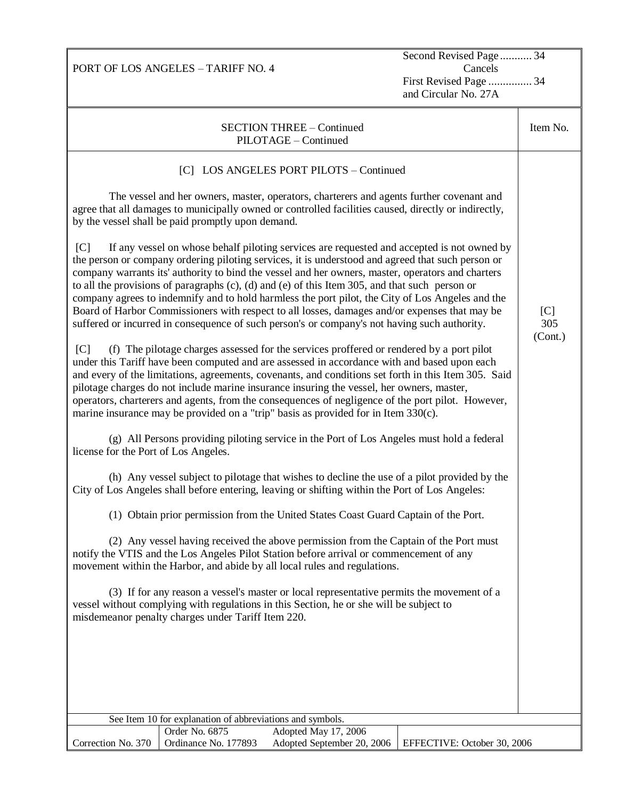Second Revised Page ........... 34 Cancels First Revised Page ............... 34 and Circular No. 27A

| <b>SECTION THREE - Continued</b><br>PILOTAGE - Continued                                                                                                                                                                                                                                                                                                                                                                                                                                                                                                                                                                                                                                                          | Item No.   |
|-------------------------------------------------------------------------------------------------------------------------------------------------------------------------------------------------------------------------------------------------------------------------------------------------------------------------------------------------------------------------------------------------------------------------------------------------------------------------------------------------------------------------------------------------------------------------------------------------------------------------------------------------------------------------------------------------------------------|------------|
| [C] LOS ANGELES PORT PILOTS - Continued                                                                                                                                                                                                                                                                                                                                                                                                                                                                                                                                                                                                                                                                           |            |
|                                                                                                                                                                                                                                                                                                                                                                                                                                                                                                                                                                                                                                                                                                                   |            |
| The vessel and her owners, master, operators, charterers and agents further covenant and<br>agree that all damages to municipally owned or controlled facilities caused, directly or indirectly,<br>by the vessel shall be paid promptly upon demand.                                                                                                                                                                                                                                                                                                                                                                                                                                                             |            |
| C <br>If any vessel on whose behalf piloting services are requested and accepted is not owned by<br>the person or company ordering piloting services, it is understood and agreed that such person or<br>company warrants its' authority to bind the vessel and her owners, master, operators and charters<br>to all the provisions of paragraphs (c), (d) and (e) of this Item 305, and that such person or<br>company agrees to indemnify and to hold harmless the port pilot, the City of Los Angeles and the<br>Board of Harbor Commissioners with respect to all losses, damages and/or expenses that may be<br>suffered or incurred in consequence of such person's or company's not having such authority. | [C]<br>305 |
| [C]<br>(f) The pilotage charges assessed for the services proffered or rendered by a port pilot<br>under this Tariff have been computed and are assessed in accordance with and based upon each<br>and every of the limitations, agreements, covenants, and conditions set forth in this Item 305. Said<br>pilotage charges do not include marine insurance insuring the vessel, her owners, master,<br>operators, charterers and agents, from the consequences of negligence of the port pilot. However,<br>marine insurance may be provided on a "trip" basis as provided for in Item 330(c).                                                                                                                   | (Cont.)    |
| (g) All Persons providing piloting service in the Port of Los Angeles must hold a federal<br>license for the Port of Los Angeles.                                                                                                                                                                                                                                                                                                                                                                                                                                                                                                                                                                                 |            |
| (h) Any vessel subject to pilotage that wishes to decline the use of a pilot provided by the<br>City of Los Angeles shall before entering, leaving or shifting within the Port of Los Angeles:                                                                                                                                                                                                                                                                                                                                                                                                                                                                                                                    |            |
| (1) Obtain prior permission from the United States Coast Guard Captain of the Port.                                                                                                                                                                                                                                                                                                                                                                                                                                                                                                                                                                                                                               |            |
| (2) Any vessel having received the above permission from the Captain of the Port must<br>notify the VTIS and the Los Angeles Pilot Station before arrival or commencement of any<br>movement within the Harbor, and abide by all local rules and regulations.                                                                                                                                                                                                                                                                                                                                                                                                                                                     |            |
| (3) If for any reason a vessel's master or local representative permits the movement of a<br>vessel without complying with regulations in this Section, he or she will be subject to<br>misdemeanor penalty charges under Tariff Item 220.                                                                                                                                                                                                                                                                                                                                                                                                                                                                        |            |
|                                                                                                                                                                                                                                                                                                                                                                                                                                                                                                                                                                                                                                                                                                                   |            |
|                                                                                                                                                                                                                                                                                                                                                                                                                                                                                                                                                                                                                                                                                                                   |            |
|                                                                                                                                                                                                                                                                                                                                                                                                                                                                                                                                                                                                                                                                                                                   |            |
|                                                                                                                                                                                                                                                                                                                                                                                                                                                                                                                                                                                                                                                                                                                   |            |
|                                                                                                                                                                                                                                                                                                                                                                                                                                                                                                                                                                                                                                                                                                                   |            |
| See Item 10 for explanation of abbreviations and symbols.                                                                                                                                                                                                                                                                                                                                                                                                                                                                                                                                                                                                                                                         |            |
| Order No. 6875<br>Adopted May 17, 2006<br>Correction No. 370<br>Ordinance No. 177893<br>Adopted September 20, 2006<br>EFFECTIVE: October 30, 2006                                                                                                                                                                                                                                                                                                                                                                                                                                                                                                                                                                 |            |

PORT OF LOS ANGELES – TARIFF NO. 4

119<br>119 - Johann Barnes<br>119 - Johann Barnes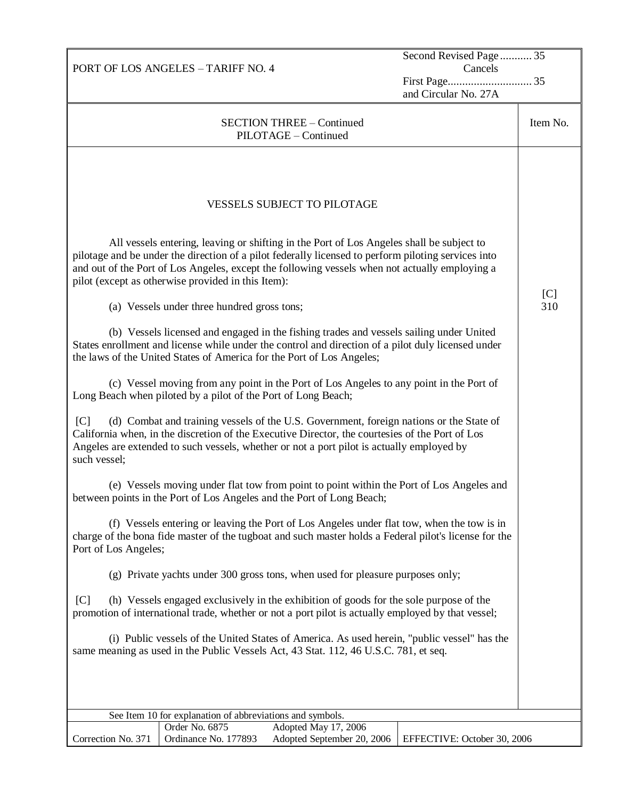|                                                    | PORT OF LOS ANGELES - TARIFF NO. 4                                                                                                                                 |                                                                                                                                                                                                                                                                                                                                                                                                                                                                                                                                                                                                                                                                                                                                                                                                                                                                                                                                                                                                                                                                                                                                                                                                                                                                                                                                                                                                                                                                                                                                                                                                                                                                                                                                                                                                                                                              | Second Revised Page 35<br>Cancels |            |
|----------------------------------------------------|--------------------------------------------------------------------------------------------------------------------------------------------------------------------|--------------------------------------------------------------------------------------------------------------------------------------------------------------------------------------------------------------------------------------------------------------------------------------------------------------------------------------------------------------------------------------------------------------------------------------------------------------------------------------------------------------------------------------------------------------------------------------------------------------------------------------------------------------------------------------------------------------------------------------------------------------------------------------------------------------------------------------------------------------------------------------------------------------------------------------------------------------------------------------------------------------------------------------------------------------------------------------------------------------------------------------------------------------------------------------------------------------------------------------------------------------------------------------------------------------------------------------------------------------------------------------------------------------------------------------------------------------------------------------------------------------------------------------------------------------------------------------------------------------------------------------------------------------------------------------------------------------------------------------------------------------------------------------------------------------------------------------------------------------|-----------------------------------|------------|
|                                                    |                                                                                                                                                                    |                                                                                                                                                                                                                                                                                                                                                                                                                                                                                                                                                                                                                                                                                                                                                                                                                                                                                                                                                                                                                                                                                                                                                                                                                                                                                                                                                                                                                                                                                                                                                                                                                                                                                                                                                                                                                                                              |                                   |            |
|                                                    |                                                                                                                                                                    |                                                                                                                                                                                                                                                                                                                                                                                                                                                                                                                                                                                                                                                                                                                                                                                                                                                                                                                                                                                                                                                                                                                                                                                                                                                                                                                                                                                                                                                                                                                                                                                                                                                                                                                                                                                                                                                              | and Circular No. 27A              |            |
|                                                    |                                                                                                                                                                    | <b>SECTION THREE - Continued</b><br>PILOTAGE - Continued                                                                                                                                                                                                                                                                                                                                                                                                                                                                                                                                                                                                                                                                                                                                                                                                                                                                                                                                                                                                                                                                                                                                                                                                                                                                                                                                                                                                                                                                                                                                                                                                                                                                                                                                                                                                     |                                   | Item No.   |
| [C]<br>such vessel;<br>Port of Los Angeles;<br>[C] | pilot (except as otherwise provided in this Item):<br>(a) Vessels under three hundred gross tons;<br>Long Beach when piloted by a pilot of the Port of Long Beach; | <b>VESSELS SUBJECT TO PILOTAGE</b><br>All vessels entering, leaving or shifting in the Port of Los Angeles shall be subject to<br>pilotage and be under the direction of a pilot federally licensed to perform piloting services into<br>and out of the Port of Los Angeles, except the following vessels when not actually employing a<br>(b) Vessels licensed and engaged in the fishing trades and vessels sailing under United<br>States enrollment and license while under the control and direction of a pilot duly licensed under<br>the laws of the United States of America for the Port of Los Angeles;<br>(c) Vessel moving from any point in the Port of Los Angeles to any point in the Port of<br>(d) Combat and training vessels of the U.S. Government, foreign nations or the State of<br>California when, in the discretion of the Executive Director, the courtesies of the Port of Los<br>Angeles are extended to such vessels, whether or not a port pilot is actually employed by<br>(e) Vessels moving under flat tow from point to point within the Port of Los Angeles and<br>between points in the Port of Los Angeles and the Port of Long Beach;<br>(f) Vessels entering or leaving the Port of Los Angeles under flat tow, when the tow is in<br>charge of the bona fide master of the tugboat and such master holds a Federal pilot's license for the<br>(g) Private yachts under 300 gross tons, when used for pleasure purposes only;<br>(h) Vessels engaged exclusively in the exhibition of goods for the sole purpose of the<br>promotion of international trade, whether or not a port pilot is actually employed by that vessel;<br>(i) Public vessels of the United States of America. As used herein, "public vessel" has the<br>same meaning as used in the Public Vessels Act, 43 Stat. 112, 46 U.S.C. 781, et seq. |                                   | [C]<br>310 |
|                                                    | See Item 10 for explanation of abbreviations and symbols.                                                                                                          |                                                                                                                                                                                                                                                                                                                                                                                                                                                                                                                                                                                                                                                                                                                                                                                                                                                                                                                                                                                                                                                                                                                                                                                                                                                                                                                                                                                                                                                                                                                                                                                                                                                                                                                                                                                                                                                              |                                   |            |
|                                                    | Order No. 6875                                                                                                                                                     | Adopted May 17, 2006                                                                                                                                                                                                                                                                                                                                                                                                                                                                                                                                                                                                                                                                                                                                                                                                                                                                                                                                                                                                                                                                                                                                                                                                                                                                                                                                                                                                                                                                                                                                                                                                                                                                                                                                                                                                                                         |                                   |            |
| Correction No. 371                                 | Ordinance No. 177893                                                                                                                                               | Adopted September 20, 2006                                                                                                                                                                                                                                                                                                                                                                                                                                                                                                                                                                                                                                                                                                                                                                                                                                                                                                                                                                                                                                                                                                                                                                                                                                                                                                                                                                                                                                                                                                                                                                                                                                                                                                                                                                                                                                   | EFFECTIVE: October 30, 2006       |            |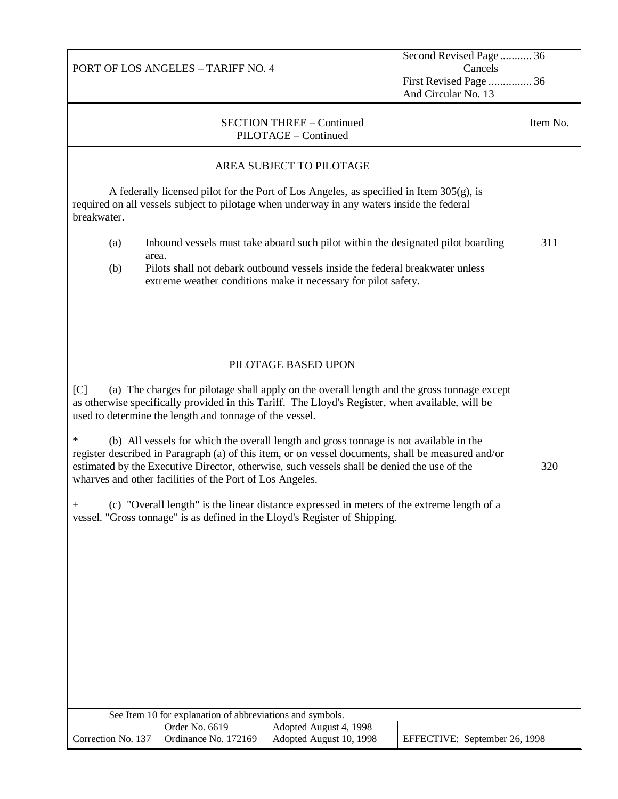|                    | PORT OF LOS ANGELES - TARIFF NO. 4                                          |                                                                                                                                                                                                                                                                                             | Second Revised Page 36<br>Cancels<br>First Revised Page  36<br>And Circular No. 13 |          |
|--------------------|-----------------------------------------------------------------------------|---------------------------------------------------------------------------------------------------------------------------------------------------------------------------------------------------------------------------------------------------------------------------------------------|------------------------------------------------------------------------------------|----------|
|                    |                                                                             | <b>SECTION THREE - Continued</b><br>PILOTAGE - Continued                                                                                                                                                                                                                                    |                                                                                    | Item No. |
|                    |                                                                             | AREA SUBJECT TO PILOTAGE                                                                                                                                                                                                                                                                    |                                                                                    |          |
| breakwater.        |                                                                             | A federally licensed pilot for the Port of Los Angeles, as specified in Item $305(g)$ , is<br>required on all vessels subject to pilotage when underway in any waters inside the federal                                                                                                    |                                                                                    |          |
| (a)<br>(b)         | area.                                                                       | Inbound vessels must take aboard such pilot within the designated pilot boarding<br>Pilots shall not debark outbound vessels inside the federal breakwater unless<br>extreme weather conditions make it necessary for pilot safety.                                                         |                                                                                    | 311      |
|                    |                                                                             |                                                                                                                                                                                                                                                                                             |                                                                                    |          |
|                    |                                                                             | PILOTAGE BASED UPON                                                                                                                                                                                                                                                                         |                                                                                    |          |
| C                  | used to determine the length and tonnage of the vessel.                     | (a) The charges for pilotage shall apply on the overall length and the gross tonnage except<br>as otherwise specifically provided in this Tariff. The Lloyd's Register, when available, will be                                                                                             |                                                                                    |          |
| $\ast$             | wharves and other facilities of the Port of Los Angeles.                    | (b) All vessels for which the overall length and gross tonnage is not available in the<br>register described in Paragraph (a) of this item, or on vessel documents, shall be measured and/or<br>estimated by the Executive Director, otherwise, such vessels shall be denied the use of the |                                                                                    | 320      |
| $\mathrm{+}$       |                                                                             | (c) "Overall length" is the linear distance expressed in meters of the extreme length of a<br>vessel. "Gross tonnage" is as defined in the Lloyd's Register of Shipping.                                                                                                                    |                                                                                    |          |
|                    |                                                                             |                                                                                                                                                                                                                                                                                             |                                                                                    |          |
|                    |                                                                             |                                                                                                                                                                                                                                                                                             |                                                                                    |          |
|                    |                                                                             |                                                                                                                                                                                                                                                                                             |                                                                                    |          |
|                    |                                                                             |                                                                                                                                                                                                                                                                                             |                                                                                    |          |
|                    |                                                                             |                                                                                                                                                                                                                                                                                             |                                                                                    |          |
|                    |                                                                             |                                                                                                                                                                                                                                                                                             |                                                                                    |          |
|                    |                                                                             |                                                                                                                                                                                                                                                                                             |                                                                                    |          |
|                    | See Item 10 for explanation of abbreviations and symbols.<br>Order No. 6619 | Adopted August 4, 1998                                                                                                                                                                                                                                                                      |                                                                                    |          |
| Correction No. 137 | Ordinance No. 172169                                                        | Adopted August 10, 1998                                                                                                                                                                                                                                                                     | EFFECTIVE: September 26, 1998                                                      |          |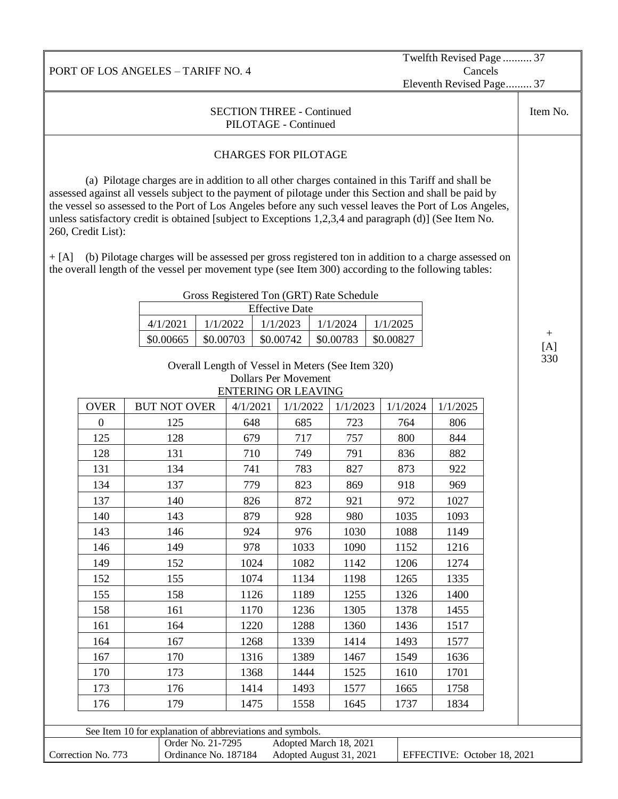PORT OF LOS ANGELES – TARIFF NO. 4 Twelfth Revised Page .......... 37 Cancels Eleventh Revised Page......... 37 SECTION THREE - Continued PILOTAGE - Continued Item No. CHARGES FOR PILOTAGE (a) Pilotage charges are in addition to all other charges contained in this Tariff and shall be assessed against all vessels subject to the payment of pilotage under this Section and shall be paid by the vessel so assessed to the Port of Los Angeles before any such vessel leaves the Port of Los Angeles, unless satisfactory credit is obtained [subject to Exceptions 1,2,3,4 and paragraph (d)] (See Item No. 260, Credit List): + [A] (b) Pilotage charges will be assessed per gross registered ton in addition to a charge assessed on the overall length of the vessel per movement type (see Item 300) according to the following tables: Gross Registered Ton (GRT) Rate Schedule Effective Date 4/1/2021 1/1/2022 1/1/2023 1/1/2024 1/1/2025  $$0.00665 \times 0.00703 \times 0.00742 \times 0.00783 \times 0.00827$ Overall Length of Vessel in Meters (See Item 320) Dollars Per Movement ENTERING OR LEAVING OVER BUT NOT OVER 4/1/2021 1/1/2022 1/1/2023 1/1/2024 1/1/2025 0 125 648 685 723 764 806 125 | 128 | 679 | 717 | 757 | 800 | 844 128 | 131 | 710 | 749 | 791 | 836 | 882 131 | 134 | 741 | 783 | 827 | 873 | 922 134 | 137 | 779 | 823 | 869 | 918 | 969 137 | 140 | 826 | 872 | 921 | 972 | 1027 140 | 143 | 879 | 928 | 980 | 1035 | 1093 143 | 146 | 924 | 976 | 1030 | 1088 | 1149 146 | 149 | 978 | 1033 | 1090 | 1152 | 1216 149 | 152 | 1024 | 1082 | 1142 | 1206 | 1274 152 | 155 | 1074 | 1134 | 1198 | 1265 | 1335 155 | 158 | 1126 | 1189 | 1255 | 1326 | 1400 158 | 161 | 1170 | 1236 | 1305 | 1378 | 1455 161 | 164 | 1220 | 1288 | 1360 | 1436 | 1517 164 | 167 | 1268 | 1339 | 1414 | 1493 | 1577 167 | 170 | 1316 | 1389 | 1467 | 1549 | 1636 170 | 173 | 1368 | 1444 | 1525 | 1610 | 1701 173 | 176 | 1414 | 1493 | 1577 | 1665 | 1758 176 | 179 | 1475 | 1558 | 1645 | 1737 | 1834 + [A] 330 See Item 10 for explanation of abbreviations and symbols. Correction No. 773 Order No. 21-7295 Adopted March 18, 2021 Ordinance No. 187184 Adopted August 31, 2021 EFFECTIVE: October 18, 2021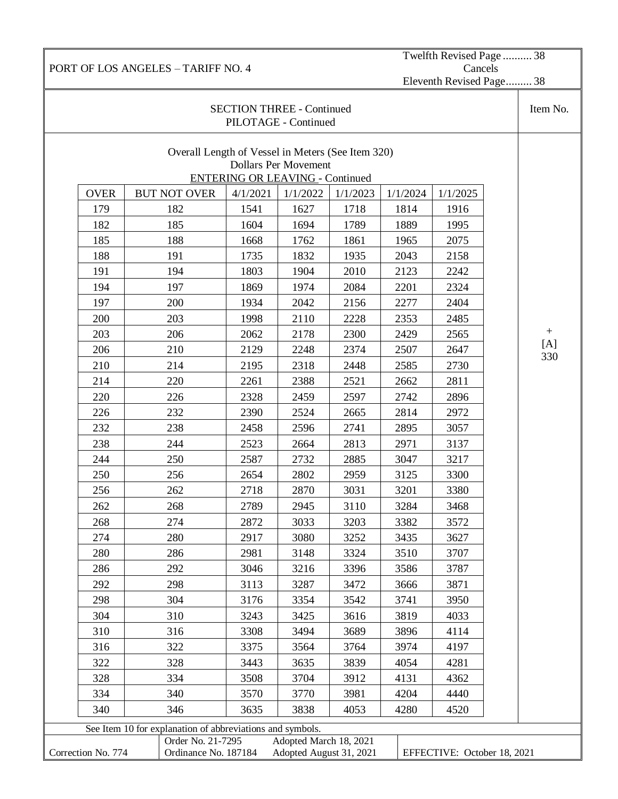See Item 10 for explanation of abbreviations and symbols. Correction No. 774 Order No. 21-7295 Adopted March 18, 2021 Ordinance No. 187184 Adopted August 31, 2021 EFFECTIVE: October 18, 2021

298 304 3176 3354 3542 3741 3950 310 3243 3425 3616 3819 4033 316 3308 3494 3689 3896 4114 322 3375 3564 3764 3974 4197 328 3443 3635 3839 4054 4281 334 3508 3704 3912 4131 4362 340 3570 3770 3981 4204 4440 346 3635 3838 4053 4280 4520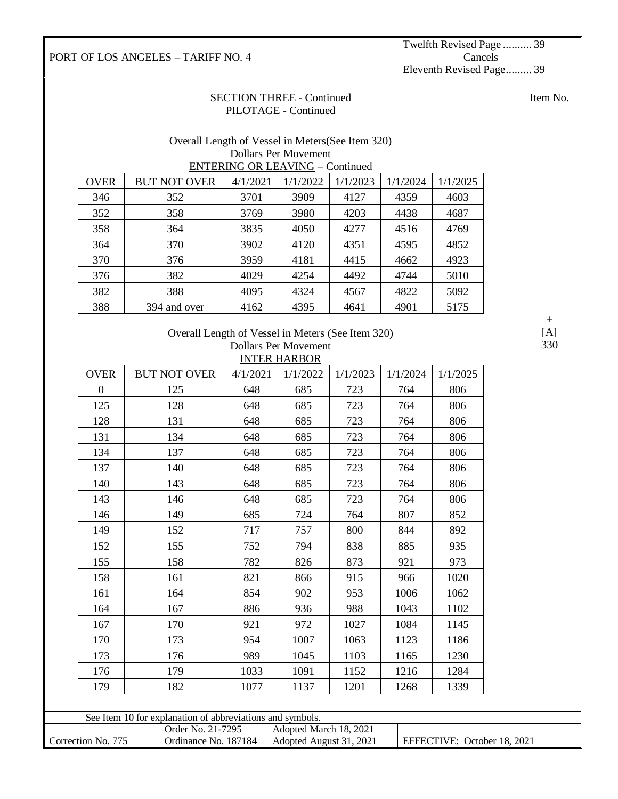Twelfth Revised Page .......... 39 Cancels Eleventh Revised Page......... 39

|                    |                                                           | <b>SECTION THREE - Continued</b><br>PILOTAGE - Continued |                                                    |          |          |                             | Item No.          |
|--------------------|-----------------------------------------------------------|----------------------------------------------------------|----------------------------------------------------|----------|----------|-----------------------------|-------------------|
|                    | Overall Length of Vessel in Meters (See Item 320)         | <b>ENTERING OR LEAVING - Continued</b>                   | <b>Dollars Per Movement</b>                        |          |          |                             |                   |
| <b>OVER</b>        | <b>BUT NOT OVER</b>                                       | 4/1/2021                                                 | 1/1/2022                                           | 1/1/2023 | 1/1/2024 | 1/1/2025                    |                   |
| 346                | 352                                                       | 3701                                                     | 3909                                               | 4127     | 4359     | 4603                        |                   |
| 352                | 358                                                       | 3769                                                     | 3980                                               | 4203     | 4438     | 4687                        |                   |
| 358                | 364                                                       | 3835                                                     | 4050                                               | 4277     | 4516     | 4769                        |                   |
| 364                | 370                                                       | 3902                                                     | 4120                                               | 4351     | 4595     | 4852                        |                   |
| 370                | 376                                                       | 3959                                                     | 4181                                               | 4415     | 4662     | 4923                        |                   |
| 376                | 382                                                       | 4029                                                     | 4254                                               | 4492     | 4744     | 5010                        |                   |
| 382                | 388                                                       | 4095                                                     | 4324                                               | 4567     | 4822     | 5092                        |                   |
| 388                | 394 and over                                              | 4162                                                     | 4395                                               | 4641     | 4901     | 5175                        |                   |
|                    | Overall Length of Vessel in Meters (See Item 320)         |                                                          | <b>Dollars Per Movement</b><br><b>INTER HARBOR</b> |          |          |                             | $+$<br>[A]<br>330 |
| <b>OVER</b>        | <b>BUT NOT OVER</b>                                       | 4/1/2021                                                 | 1/1/2022                                           | 1/1/2023 | 1/1/2024 | 1/1/2025                    |                   |
| $\overline{0}$     | 125                                                       | 648                                                      | 685                                                | 723      | 764      | 806                         |                   |
| 125                | 128                                                       | 648                                                      | 685                                                | 723      | 764      | 806                         |                   |
| 128                | 131                                                       | 648                                                      | 685                                                | 723      | 764      | 806                         |                   |
| 131                | 134                                                       | 648                                                      | 685                                                | 723      | 764      | 806                         |                   |
| 134                | 137                                                       | 648                                                      | 685                                                | 723      | 764      | 806                         |                   |
| 137                | 140                                                       | 648                                                      | 685                                                | 723      | 764      | 806                         |                   |
| 140                | 143                                                       | 648                                                      | 685                                                | 723      | 764      | 806                         |                   |
| 143                | 146                                                       | 648                                                      | 685                                                | 723      | 764      | 806                         |                   |
| 146                | 149                                                       | 685                                                      | 724                                                | 764      | 807      | 852                         |                   |
| 149                | 152                                                       | 717                                                      | 757                                                | 800      | 844      | 892                         |                   |
| 152                | 155                                                       | 752                                                      | 794                                                | 838      | 885      | 935                         |                   |
| 155                | 158                                                       | 782                                                      | 826                                                | 873      | 921      | 973                         |                   |
| 158                | 161                                                       | 821                                                      | 866                                                | 915      | 966      | 1020                        |                   |
| 161                | 164                                                       | 854                                                      | 902                                                | 953      | 1006     | 1062                        |                   |
| 164                | 167                                                       | 886                                                      | 936                                                | 988      | 1043     | 1102                        |                   |
| 167                | 170                                                       | 921                                                      | 972                                                | 1027     | 1084     | 1145                        |                   |
| 170                | 173                                                       | 954                                                      | 1007                                               | 1063     | 1123     | 1186                        |                   |
| 173                | 176                                                       | 989                                                      | 1045                                               | 1103     | 1165     | 1230                        |                   |
| 176                | 179                                                       | 1033                                                     | 1091                                               | 1152     | 1216     | 1284                        |                   |
| 179                | 182                                                       | 1077                                                     | 1137                                               | 1201     | 1268     | 1339                        |                   |
|                    |                                                           |                                                          |                                                    |          |          |                             |                   |
|                    | See Item 10 for explanation of abbreviations and symbols. |                                                          |                                                    |          |          |                             |                   |
| Correction No. 775 | Order No. 21-7295<br>Ordinance No. 187184                 |                                                          | Adopted March 18, 2021<br>Adopted August 31, 2021  |          |          | EFFECTIVE: October 18, 2021 |                   |
|                    |                                                           |                                                          |                                                    |          |          |                             |                   |

PORT OF LOS ANGELES – TARIFF NO. 4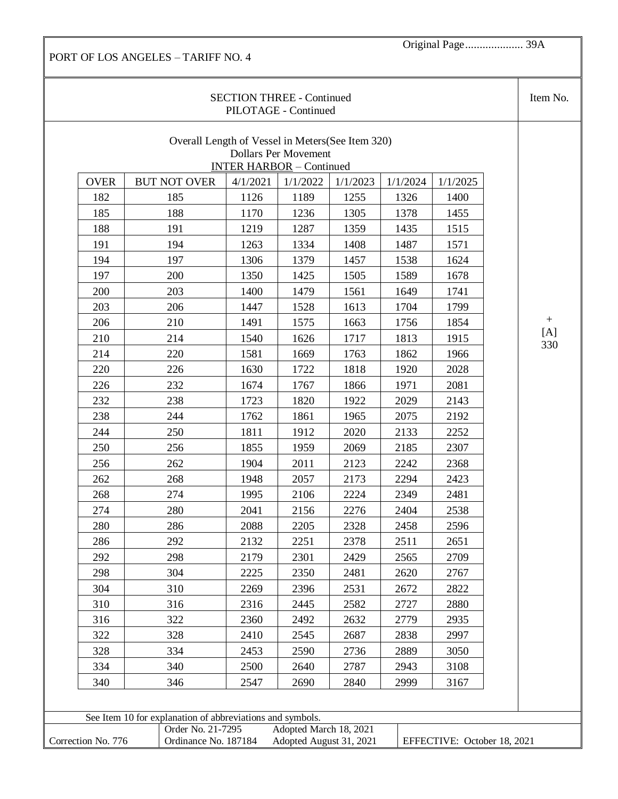Original Page.................... 39A

|                    |                                                           |          | <b>SECTION THREE - Continued</b><br>PILOTAGE - Continued       |          |          |                             | Item No. |
|--------------------|-----------------------------------------------------------|----------|----------------------------------------------------------------|----------|----------|-----------------------------|----------|
|                    | Overall Length of Vessel in Meters (See Item 320)         |          | <b>Dollars Per Movement</b><br><b>INTER HARBOR - Continued</b> |          |          |                             |          |
| <b>OVER</b>        | <b>BUT NOT OVER</b>                                       | 4/1/2021 | 1/1/2022                                                       | 1/1/2023 | 1/1/2024 | 1/1/2025                    |          |
| 182                | 185                                                       | 1126     | 1189                                                           | 1255     | 1326     | 1400                        |          |
| 185                | 188                                                       | 1170     | 1236                                                           | 1305     | 1378     | 1455                        |          |
| 188                | 191                                                       | 1219     | 1287                                                           | 1359     | 1435     | 1515                        |          |
| 191                | 194                                                       | 1263     | 1334                                                           | 1408     | 1487     | 1571                        |          |
| 194                | 197                                                       | 1306     | 1379                                                           | 1457     | 1538     | 1624                        |          |
| 197                | 200                                                       | 1350     | 1425                                                           | 1505     | 1589     | 1678                        |          |
| 200                | 203                                                       | 1400     | 1479                                                           | 1561     | 1649     | 1741                        |          |
| 203                | 206                                                       | 1447     | 1528                                                           | 1613     | 1704     | 1799                        |          |
| 206                | 210                                                       | 1491     | 1575                                                           | 1663     | 1756     | 1854                        | $^{+}$   |
| 210                | 214                                                       | 1540     | 1626                                                           | 1717     | 1813     | 1915                        | [A]      |
| 214                | 220                                                       | 1581     | 1669                                                           | 1763     | 1862     | 1966                        | 330      |
| 220                | 226                                                       | 1630     | 1722                                                           | 1818     | 1920     | 2028                        |          |
| 226                | 232                                                       | 1674     | 1767                                                           | 1866     | 1971     | 2081                        |          |
| 232                | 238                                                       | 1723     | 1820                                                           | 1922     | 2029     | 2143                        |          |
| 238                | 244                                                       | 1762     | 1861                                                           | 1965     | 2075     | 2192                        |          |
| 244                | 250                                                       | 1811     | 1912                                                           | 2020     | 2133     | 2252                        |          |
| 250                | 256                                                       | 1855     | 1959                                                           | 2069     | 2185     | 2307                        |          |
| 256                | 262                                                       | 1904     | 2011                                                           | 2123     | 2242     | 2368                        |          |
| 262                | 268                                                       | 1948     | 2057                                                           | 2173     | 2294     | 2423                        |          |
| 268                | 274                                                       | 1995     | 2106                                                           | 2224     | 2349     | 2481                        |          |
| 274                | 280                                                       | 2041     | 2156                                                           | 2276     | 2404     | 2538                        |          |
| 280                | 286                                                       | 2088     | 2205                                                           | 2328     | 2458     | 2596                        |          |
| 286                | 292                                                       | 2132     | 2251                                                           | 2378     | 2511     | 2651                        |          |
| 292                | 298                                                       | 2179     | 2301                                                           | 2429     | 2565     | 2709                        |          |
| 298                | 304                                                       | 2225     | 2350                                                           | 2481     | 2620     | 2767                        |          |
| 304                | 310                                                       | 2269     | 2396                                                           | 2531     | 2672     | 2822                        |          |
| 310                | 316                                                       | 2316     | 2445                                                           | 2582     | 2727     | 2880                        |          |
| 316                | 322                                                       | 2360     | 2492                                                           | 2632     | 2779     | 2935                        |          |
| 322                | 328                                                       | 2410     | 2545                                                           | 2687     | 2838     | 2997                        |          |
| 328                | 334                                                       | 2453     | 2590                                                           | 2736     | 2889     | 3050                        |          |
| 334                | 340                                                       | 2500     | 2640                                                           | 2787     | 2943     | 3108                        |          |
| 340                | 346                                                       | 2547     | 2690                                                           | 2840     | 2999     | 3167                        |          |
|                    |                                                           |          |                                                                |          |          |                             |          |
|                    | See Item 10 for explanation of abbreviations and symbols. |          |                                                                |          |          |                             |          |
|                    | Order No. 21-7295                                         |          | Adopted March 18, 2021                                         |          |          |                             |          |
| Correction No. 776 | Ordinance No. 187184                                      |          | Adopted August 31, 2021                                        |          |          | EFFECTIVE: October 18, 2021 |          |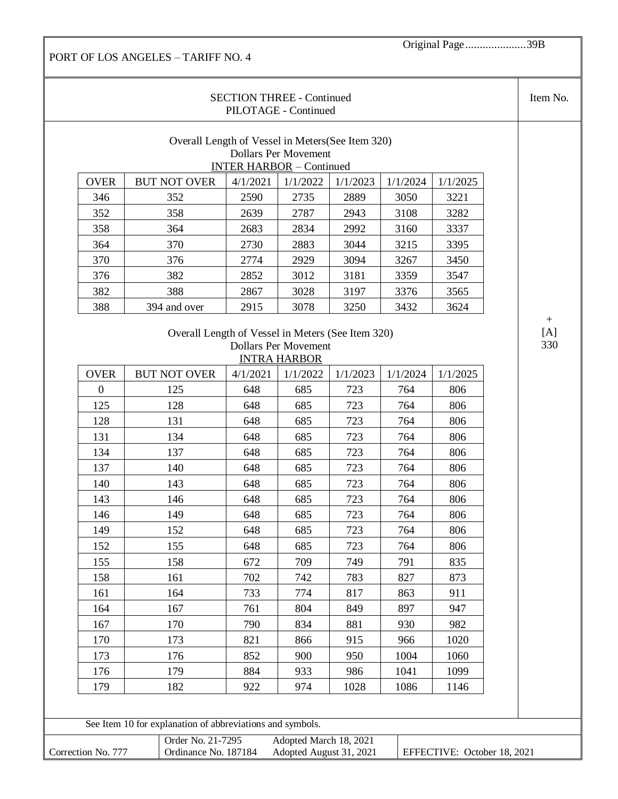Original Page.....................39B

|                |                                                   | <b>SECTION THREE - Continued</b><br>PILOTAGE - Continued |                             |             |              |              | Item No.                |
|----------------|---------------------------------------------------|----------------------------------------------------------|-----------------------------|-------------|--------------|--------------|-------------------------|
|                | Overall Length of Vessel in Meters (See Item 320) |                                                          | <b>Dollars Per Movement</b> |             |              |              |                         |
|                |                                                   | <b>INTER HARBOR - Continued</b>                          |                             |             |              |              |                         |
| <b>OVER</b>    | <b>BUT NOT OVER</b>                               | 4/1/2021                                                 | 1/1/2022                    | 1/1/2023    | 1/1/2024     | 1/1/2025     |                         |
| 346            | 352                                               | 2590                                                     | 2735                        | 2889        | 3050         | 3221         |                         |
| 352            | 358                                               | 2639                                                     | 2787                        | 2943        | 3108         | 3282         |                         |
| 358            | 364                                               | 2683                                                     | 2834                        | 2992        | 3160         | 3337         |                         |
| 364            | 370                                               | 2730                                                     | 2883                        | 3044        | 3215         | 3395         |                         |
| 370            | 376                                               | 2774                                                     | 2929                        | 3094        | 3267         | 3450         |                         |
| 376            | 382                                               | 2852                                                     | 3012                        | 3181        | 3359         | 3547         |                         |
| 382            | 388                                               | 2867                                                     | 3028                        | 3197        | 3376         | 3565         |                         |
| 388            | 394 and over                                      | 2915                                                     | 3078                        | 3250        | 3432         | 3624         |                         |
|                | Overall Length of Vessel in Meters (See Item 320) |                                                          |                             |             |              |              | $\boldsymbol{+}$<br>[A] |
|                |                                                   |                                                          | <b>Dollars Per Movement</b> |             |              |              | 330                     |
|                |                                                   |                                                          | <b>INTRA HARBOR</b>         |             |              |              |                         |
| <b>OVER</b>    | <b>BUT NOT OVER</b>                               | 4/1/2021                                                 | 1/1/2022                    | 1/1/2023    | 1/1/2024     | 1/1/2025     |                         |
| $\overline{0}$ | 125                                               | 648                                                      | 685                         | 723         | 764          | 806          |                         |
| 125            | 128                                               | 648                                                      | 685                         | 723         | 764          | 806          |                         |
| 128            | 131                                               | 648                                                      | 685                         | 723         | 764          | 806          |                         |
| 131            | 134                                               | 648                                                      | 685                         | 723         | 764          | 806          |                         |
| 134            | 137                                               | 648                                                      | 685                         | 723         | 764          | 806          |                         |
| 137            | 140                                               | 648                                                      | 685                         | 723         | 764          | 806          |                         |
| 140            | 143                                               | 648                                                      | 685                         | 723         | 764          | 806          |                         |
| 143            | 146                                               | 648                                                      | 685                         | 723         | 764          | 806          |                         |
| 146            | 149                                               | 648                                                      | 685                         | 723         | 764          | 806          |                         |
| 149            | 152                                               | 648                                                      | 685                         | 723         | 764          | 806          |                         |
| 152            | 155                                               | 648                                                      | 685                         | 723         | 764          | 806          |                         |
| 155            | 158                                               | 672                                                      | 709                         | 749         | 791          | 835          |                         |
| 158            | 161                                               | 702                                                      | 742                         | 783         | 827          | 873          |                         |
|                | 164                                               | 733                                                      | 774                         | 817         | 863          | 911          |                         |
| 161            | 167                                               | 761                                                      | 804                         | 849         | 897          | 947          |                         |
| 164            |                                                   |                                                          | 834                         | 881         | 930          | 982          |                         |
| 167            | 170                                               | 790                                                      |                             |             |              |              |                         |
| 170            | 173                                               | 821                                                      | 866                         | 915         | 966          | 1020         |                         |
| 173            | 176                                               | 852                                                      | 900                         | 950         | 1004         | 1060         |                         |
| 176<br>179     | 179<br>182                                        | 884<br>922                                               | 933<br>974                  | 986<br>1028 | 1041<br>1086 | 1099<br>1146 |                         |

|                | Order No. 21-7295    | Adopted March 18, 2021  |                             |
|----------------|----------------------|-------------------------|-----------------------------|
| Correction No. | Ordinance No. 187184 | Adopted August 31, 2021 | EFFECTIVE: October 18, 2021 |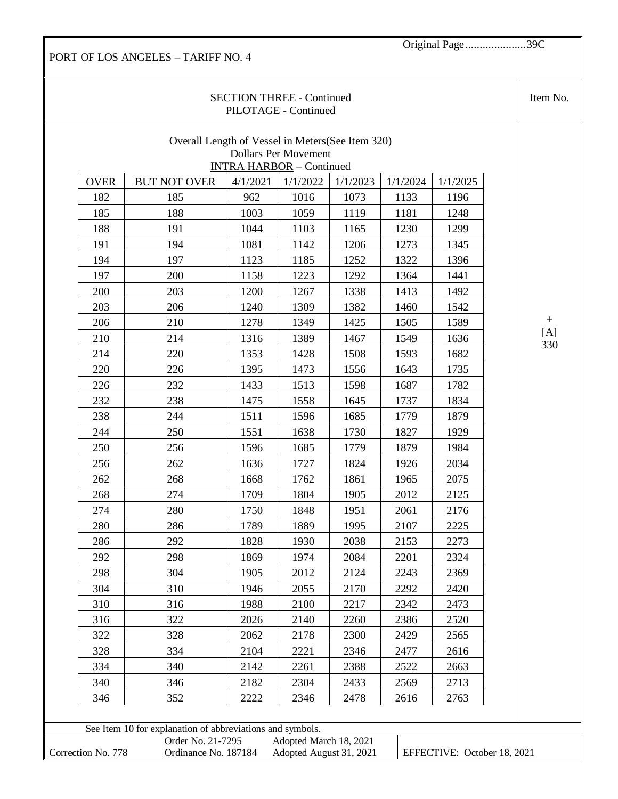Original Page.....................39C

|                    |                                                           | <b>SECTION THREE - Continued</b><br>PILOTAGE - Continued |                             |          |          |                             | Item No. |
|--------------------|-----------------------------------------------------------|----------------------------------------------------------|-----------------------------|----------|----------|-----------------------------|----------|
|                    | Overall Length of Vessel in Meters (See Item 320)         | <b>INTRA HARBOR</b> - Continued                          | <b>Dollars Per Movement</b> |          |          |                             |          |
| <b>OVER</b>        | <b>BUT NOT OVER</b>                                       | 4/1/2021                                                 | 1/1/2022                    | 1/1/2023 | 1/1/2024 | 1/1/2025                    |          |
| 182                | 185                                                       | 962                                                      | 1016                        | 1073     | 1133     | 1196                        |          |
| 185                | 188                                                       | 1003                                                     | 1059                        | 1119     | 1181     | 1248                        |          |
| 188                | 191                                                       | 1044                                                     | 1103                        | 1165     | 1230     | 1299                        |          |
| 191                | 194                                                       | 1081                                                     | 1142                        | 1206     | 1273     | 1345                        |          |
| 194                | 197                                                       | 1123                                                     | 1185                        | 1252     | 1322     | 1396                        |          |
| 197                | 200                                                       | 1158                                                     | 1223                        | 1292     | 1364     | 1441                        |          |
| 200                | 203                                                       | 1200                                                     | 1267                        | 1338     | 1413     | 1492                        |          |
| 203                | 206                                                       | 1240                                                     | 1309                        | 1382     | 1460     | 1542                        |          |
| 206                | 210                                                       | 1278                                                     | 1349                        | 1425     | 1505     | 1589                        | $^{+}$   |
| 210                | 214                                                       | 1316                                                     | 1389                        | 1467     | 1549     | 1636                        | [A]      |
| 214                | 220                                                       | 1353                                                     | 1428                        | 1508     | 1593     | 1682                        | 330      |
| 220                | 226                                                       | 1395                                                     | 1473                        | 1556     | 1643     | 1735                        |          |
| 226                | 232                                                       | 1433                                                     | 1513                        | 1598     | 1687     | 1782                        |          |
| 232                | 238                                                       | 1475                                                     | 1558                        | 1645     | 1737     | 1834                        |          |
| 238                | 244                                                       | 1511                                                     | 1596                        | 1685     | 1779     | 1879                        |          |
| 244                | 250                                                       | 1551                                                     | 1638                        | 1730     | 1827     | 1929                        |          |
| 250                | 256                                                       | 1596                                                     | 1685                        | 1779     | 1879     | 1984                        |          |
| 256                | 262                                                       | 1636                                                     | 1727                        | 1824     | 1926     | 2034                        |          |
| 262                | 268                                                       | 1668                                                     | 1762                        | 1861     | 1965     | 2075                        |          |
| 268                | 274                                                       | 1709                                                     | 1804                        | 1905     | 2012     | 2125                        |          |
| 274                | 280                                                       | 1750                                                     | 1848                        | 1951     | 2061     | 2176                        |          |
| 280                | 286                                                       | 1789                                                     | 1889                        | 1995     | 2107     | 2225                        |          |
| 286                | 292                                                       | 1828                                                     | 1930                        | 2038     | 2153     | 2273                        |          |
| 292                | 298                                                       | 1869                                                     | 1974                        | 2084     | 2201     | 2324                        |          |
| 298                | 304                                                       | 1905                                                     | 2012                        | 2124     | 2243     | 2369                        |          |
| 304                | 310                                                       | 1946                                                     | 2055                        | 2170     | 2292     | 2420                        |          |
| 310                | 316                                                       | 1988                                                     | 2100                        | 2217     | 2342     | 2473                        |          |
| 316                | 322                                                       | 2026                                                     | 2140                        | 2260     | 2386     | 2520                        |          |
| 322                | 328                                                       | 2062                                                     | 2178                        | 2300     | 2429     | 2565                        |          |
| 328                | 334                                                       | 2104                                                     | 2221                        | 2346     | 2477     | 2616                        |          |
| 334                | 340                                                       | 2142                                                     | 2261                        | 2388     | 2522     | 2663                        |          |
| 340                | 346                                                       | 2182                                                     | 2304                        | 2433     | 2569     | 2713                        |          |
| 346                | 352                                                       | 2222                                                     | 2346                        | 2478     | 2616     | 2763                        |          |
|                    |                                                           |                                                          |                             |          |          |                             |          |
|                    | See Item 10 for explanation of abbreviations and symbols. |                                                          |                             |          |          |                             |          |
|                    | Order No. 21-7295                                         |                                                          | Adopted March 18, 2021      |          |          |                             |          |
| Correction No. 778 | Ordinance No. 187184                                      |                                                          | Adopted August 31, 2021     |          |          | EFFECTIVE: October 18, 2021 |          |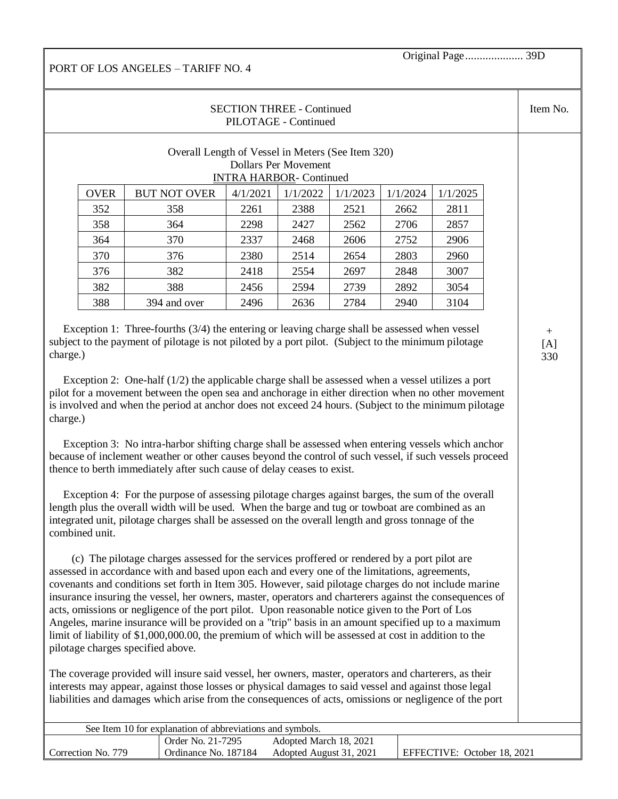Original Page.................... 39D

## PORT OF LOS ANGELES – TARIFF NO. 4

| Item No. |          |          |          |                      | <b>SECTION THREE - Continued</b><br>PILOTAGE - Continued |                                                   |             |
|----------|----------|----------|----------|----------------------|----------------------------------------------------------|---------------------------------------------------|-------------|
|          |          |          |          | Dollars Per Movement | <b>INTRA HARBOR- Continued</b>                           | Overall Length of Vessel in Meters (See Item 320) |             |
|          | 1/1/2025 | 1/1/2024 | 1/1/2023 | 1/1/2022             | 4/1/2021                                                 | <b>BUT NOT OVER</b>                               | <b>OVER</b> |
|          | 2811     | 2662     | 2521     | 2388                 | 2261                                                     | 358                                               | 352         |
|          | 2857     | 2706     | 2562     | 2427                 | 2298                                                     | 364                                               | 358         |
|          | 2906     | 2752     | 2606     | 2468                 | 2337                                                     | 370                                               | 364         |
|          | 2960     | 2803     | 2654     | 2514                 | 2380                                                     | 376                                               | 370         |
|          | 3007     | 2848     | 2697     | 2554                 | 2418                                                     | 382                                               | 376         |
|          | 3054     | 2892     | 2739     | 2594                 | 2456                                                     | 388                                               | 382         |
|          | 3104     | 2940     | 2784     | 2636                 | 2496                                                     | 394 and over                                      | 388         |

 Exception 1: Three-fourths (3/4) the entering or leaving charge shall be assessed when vessel subject to the payment of pilotage is not piloted by a port pilot. (Subject to the minimum pilotage charge.)

 Exception 2: One-half (1/2) the applicable charge shall be assessed when a vessel utilizes a port pilot for a movement between the open sea and anchorage in either direction when no other movement is involved and when the period at anchor does not exceed 24 hours. (Subject to the minimum pilotage charge.)

 Exception 3: No intra-harbor shifting charge shall be assessed when entering vessels which anchor because of inclement weather or other causes beyond the control of such vessel, if such vessels proceed thence to berth immediately after such cause of delay ceases to exist.

 Exception 4: For the purpose of assessing pilotage charges against barges, the sum of the overall length plus the overall width will be used. When the barge and tug or towboat are combined as an integrated unit, pilotage charges shall be assessed on the overall length and gross tonnage of the combined unit.

 (c) The pilotage charges assessed for the services proffered or rendered by a port pilot are assessed in accordance with and based upon each and every one of the limitations, agreements, covenants and conditions set forth in Item 305. However, said pilotage charges do not include marine insurance insuring the vessel, her owners, master, operators and charterers against the consequences of acts, omissions or negligence of the port pilot. Upon reasonable notice given to the Port of Los Angeles, marine insurance will be provided on a "trip" basis in an amount specified up to a maximum limit of liability of \$1,000,000.00, the premium of which will be assessed at cost in addition to the pilotage charges specified above.

The coverage provided will insure said vessel, her owners, master, operators and charterers, as their interests may appear, against those losses or physical damages to said vessel and against those legal liabilities and damages which arise from the consequences of acts, omissions or negligence of the port

| See Item 10 for explanation of abbreviations and symbols. |                      |                         |                             |  |
|-----------------------------------------------------------|----------------------|-------------------------|-----------------------------|--|
|                                                           | Order No. 21-7295    | Adopted March 18, 2021  |                             |  |
| Correction No. 779                                        | Ordinance No. 187184 | Adopted August 31, 2021 | EFFECTIVE: October 18, 2021 |  |

+  $[A]$ 330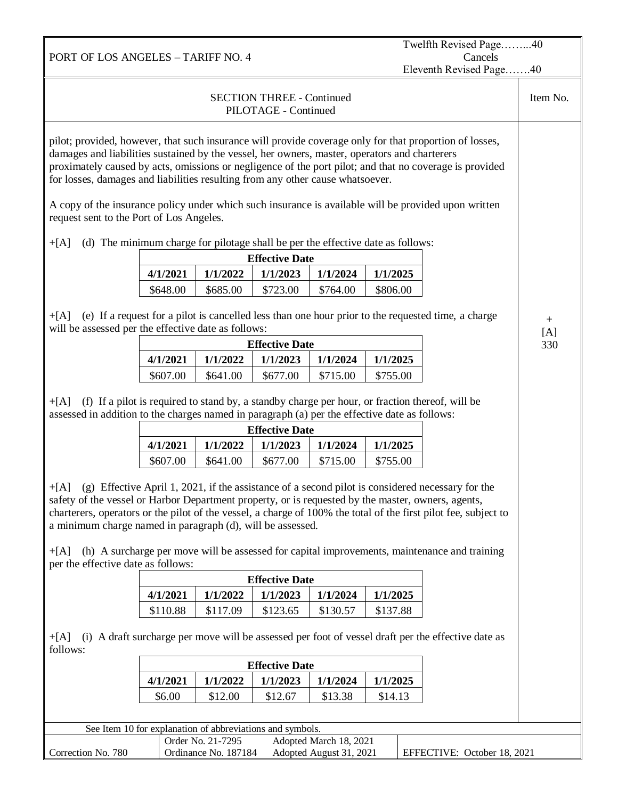Twelfth Revised Page……...40 Cancels Eleventh Revised Page…….40

| <b>SECTION THREE - Continued</b><br>PILOTAGE - Continued                                                                                                                                                                                                                                                                                                                                                                                                                                                                                          |                                                          |          |                       |          | Item No. |                                                                                                      |               |
|---------------------------------------------------------------------------------------------------------------------------------------------------------------------------------------------------------------------------------------------------------------------------------------------------------------------------------------------------------------------------------------------------------------------------------------------------------------------------------------------------------------------------------------------------|----------------------------------------------------------|----------|-----------------------|----------|----------|------------------------------------------------------------------------------------------------------|---------------|
| pilot; provided, however, that such insurance will provide coverage only for that proportion of losses,<br>damages and liabilities sustained by the vessel, her owners, master, operators and charterers<br>proximately caused by acts, omissions or negligence of the port pilot; and that no coverage is provided<br>for losses, damages and liabilities resulting from any other cause whatsoever.                                                                                                                                             |                                                          |          |                       |          |          |                                                                                                      |               |
| request sent to the Port of Los Angeles.                                                                                                                                                                                                                                                                                                                                                                                                                                                                                                          |                                                          |          |                       |          |          | A copy of the insurance policy under which such insurance is available will be provided upon written |               |
| (d) The minimum charge for pilotage shall be per the effective date as follows:<br>$+[A]$                                                                                                                                                                                                                                                                                                                                                                                                                                                         |                                                          |          |                       |          |          |                                                                                                      |               |
|                                                                                                                                                                                                                                                                                                                                                                                                                                                                                                                                                   |                                                          |          | <b>Effective Date</b> |          |          |                                                                                                      |               |
|                                                                                                                                                                                                                                                                                                                                                                                                                                                                                                                                                   | 4/1/2021                                                 | 1/1/2022 | 1/1/2023              | 1/1/2024 | 1/1/2025 |                                                                                                      |               |
|                                                                                                                                                                                                                                                                                                                                                                                                                                                                                                                                                   | \$648.00                                                 | \$685.00 | \$723.00              | \$764.00 | \$806.00 |                                                                                                      |               |
| $+[A]$<br>will be assessed per the effective date as follows:                                                                                                                                                                                                                                                                                                                                                                                                                                                                                     |                                                          |          |                       |          |          | (e) If a request for a pilot is cancelled less than one hour prior to the requested time, a charge   | $^{+}$<br>[A] |
|                                                                                                                                                                                                                                                                                                                                                                                                                                                                                                                                                   |                                                          |          | <b>Effective Date</b> |          |          |                                                                                                      | 330           |
|                                                                                                                                                                                                                                                                                                                                                                                                                                                                                                                                                   | 4/1/2021                                                 | 1/1/2022 | 1/1/2023              | 1/1/2024 | 1/1/2025 |                                                                                                      |               |
|                                                                                                                                                                                                                                                                                                                                                                                                                                                                                                                                                   | \$607.00                                                 | \$641.00 | \$677.00              | \$715.00 | \$755.00 |                                                                                                      |               |
| (f) If a pilot is required to stand by, a standby charge per hour, or fraction thereof, will be<br>$+[A]$<br>assessed in addition to the charges named in paragraph (a) per the effective date as follows:                                                                                                                                                                                                                                                                                                                                        |                                                          |          |                       |          |          |                                                                                                      |               |
|                                                                                                                                                                                                                                                                                                                                                                                                                                                                                                                                                   |                                                          |          | <b>Effective Date</b> |          |          |                                                                                                      |               |
|                                                                                                                                                                                                                                                                                                                                                                                                                                                                                                                                                   | 4/1/2021                                                 | 1/1/2022 | 1/1/2023              | 1/1/2024 | 1/1/2025 |                                                                                                      |               |
|                                                                                                                                                                                                                                                                                                                                                                                                                                                                                                                                                   | \$607.00                                                 | \$641.00 | \$677.00              | \$715.00 | \$755.00 |                                                                                                      |               |
| (g) Effective April 1, 2021, if the assistance of a second pilot is considered necessary for the<br>$+[A]$<br>safety of the vessel or Harbor Department property, or is requested by the master, owners, agents,<br>charterers, operators or the pilot of the vessel, a charge of 100% the total of the first pilot fee, subject to<br>a minimum charge named in paragraph (d), will be assessed.<br>(h) A surcharge per move will be assessed for capital improvements, maintenance and training<br>$+[A]$<br>per the effective date as follows: |                                                          |          |                       |          |          |                                                                                                      |               |
|                                                                                                                                                                                                                                                                                                                                                                                                                                                                                                                                                   |                                                          |          | <b>Effective Date</b> |          |          |                                                                                                      |               |
|                                                                                                                                                                                                                                                                                                                                                                                                                                                                                                                                                   | 4/1/2021                                                 | 1/1/2022 | 1/1/2023              | 1/1/2024 | 1/1/2025 |                                                                                                      |               |
|                                                                                                                                                                                                                                                                                                                                                                                                                                                                                                                                                   | \$110.88                                                 | \$117.09 | \$123.65              | \$130.57 | \$137.88 |                                                                                                      |               |
| (i) A draft surcharge per move will be assessed per foot of vessel draft per the effective date as<br>$+[A]$<br>follows:                                                                                                                                                                                                                                                                                                                                                                                                                          |                                                          |          |                       |          |          |                                                                                                      |               |
| <b>Effective Date</b>                                                                                                                                                                                                                                                                                                                                                                                                                                                                                                                             |                                                          |          |                       |          |          |                                                                                                      |               |
|                                                                                                                                                                                                                                                                                                                                                                                                                                                                                                                                                   | 1/1/2023<br>4/1/2021<br>1/1/2022<br>1/1/2024<br>1/1/2025 |          |                       |          |          |                                                                                                      |               |
|                                                                                                                                                                                                                                                                                                                                                                                                                                                                                                                                                   | \$6.00                                                   | \$12.00  | \$12.67               | \$13.38  | \$14.13  |                                                                                                      |               |
|                                                                                                                                                                                                                                                                                                                                                                                                                                                                                                                                                   |                                                          |          |                       |          |          |                                                                                                      |               |
| See Item 10 for explanation of abbreviations and symbols.                                                                                                                                                                                                                                                                                                                                                                                                                                                                                         |                                                          |          |                       |          |          |                                                                                                      |               |
| Order No. 21-7295<br>Adopted March 18, 2021<br>Ordinance No. 187184<br>Adopted August 31, 2021                                                                                                                                                                                                                                                                                                                                                                                                                                                    |                                                          |          |                       |          |          |                                                                                                      |               |
| Correction No. 780                                                                                                                                                                                                                                                                                                                                                                                                                                                                                                                                |                                                          |          |                       |          |          | EFFECTIVE: October 18, 2021                                                                          |               |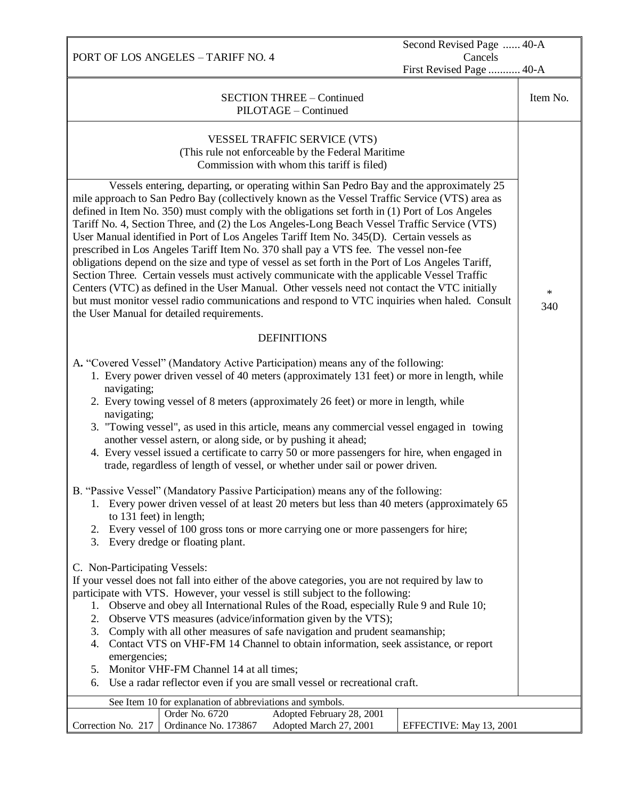PORT OF LOS ANGELES – TARIFF NO. 4 Second Revised Page ...... 40-A Cancels First Revised Page ........... 40-A SECTION THREE – Continued PILOTAGE – Continued Item No. VESSEL TRAFFIC SERVICE (VTS) (This rule not enforceable by the Federal Maritime Commission with whom this tariff is filed) \* 340 Vessels entering, departing, or operating within San Pedro Bay and the approximately 25 mile approach to San Pedro Bay (collectively known as the Vessel Traffic Service (VTS) area as defined in Item No. 350) must comply with the obligations set forth in (1) Port of Los Angeles Tariff No. 4, Section Three, and (2) the Los Angeles-Long Beach Vessel Traffic Service (VTS) User Manual identified in Port of Los Angeles Tariff Item No. 345(D). Certain vessels as prescribed in Los Angeles Tariff Item No. 370 shall pay a VTS fee. The vessel non-fee obligations depend on the size and type of vessel as set forth in the Port of Los Angeles Tariff, Section Three. Certain vessels must actively communicate with the applicable Vessel Traffic Centers (VTC) as defined in the User Manual. Other vessels need not contact the VTC initially but must monitor vessel radio communications and respond to VTC inquiries when haled. Consult the User Manual for detailed requirements. **DEFINITIONS** A**.** "Covered Vessel" (Mandatory Active Participation) means any of the following: 1. Every power driven vessel of 40 meters (approximately 131 feet) or more in length, while navigating; 2. Every towing vessel of 8 meters (approximately 26 feet) or more in length, while navigating; 3. "Towing vessel", as used in this article, means any commercial vessel engaged in towing another vessel astern, or along side, or by pushing it ahead; 4. Every vessel issued a certificate to carry 50 or more passengers for hire, when engaged in trade, regardless of length of vessel, or whether under sail or power driven. B. "Passive Vessel" (Mandatory Passive Participation) means any of the following: 1. Every power driven vessel of at least 20 meters but less than 40 meters (approximately 65 to 131 feet) in length; 2. Every vessel of 100 gross tons or more carrying one or more passengers for hire; 3. Every dredge or floating plant. C. Non-Participating Vessels: If your vessel does not fall into either of the above categories, you are not required by law to participate with VTS. However, your vessel is still subject to the following: 1. Observe and obey all International Rules of the Road, especially Rule 9 and Rule 10; 2. Observe VTS measures (advice/information given by the VTS); 3. Comply with all other measures of safe navigation and prudent seamanship; 4. Contact VTS on VHF-FM 14 Channel to obtain information, seek assistance, or report emergencies; 5. Monitor VHF-FM Channel 14 at all times; 6. Use a radar reflector even if you are small vessel or recreational craft. See Item 10 for explanation of abbreviations and symbols. Correction No. 217 Order No. 6720 Adopted February 28, 2001 Ordinance No. 173867 Adopted March 27, 2001 EFFECTIVE: May 13, 2001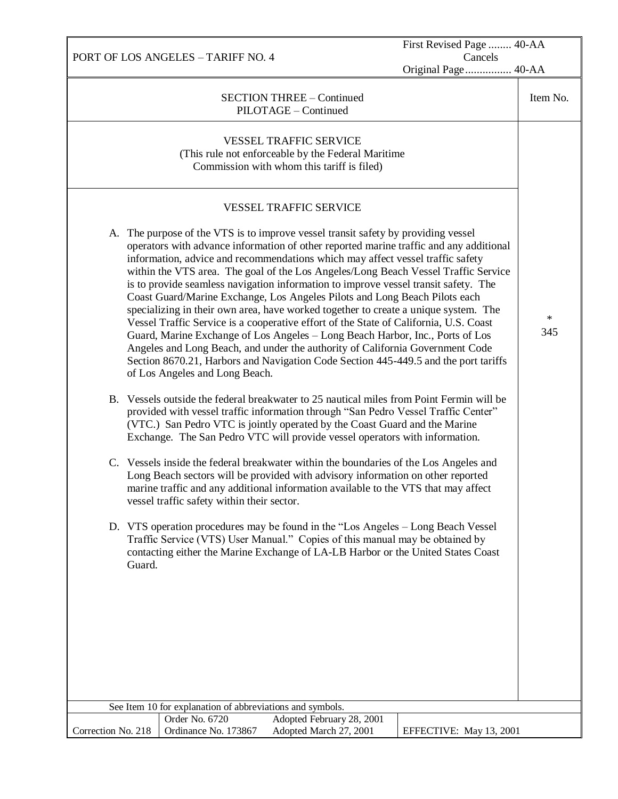PORT OF LOS ANGELES – TARIFF NO. 4 First Revised Page ........ 40-AA Cancels Original Page................ 40-AA SECTION THREE – Continued PILOTAGE – Continued Item No. VESSEL TRAFFIC SERVICE (This rule not enforceable by the Federal Maritime Commission with whom this tariff is filed) \* 345 VESSEL TRAFFIC SERVICE A. The purpose of the VTS is to improve vessel transit safety by providing vessel operators with advance information of other reported marine traffic and any additional information, advice and recommendations which may affect vessel traffic safety within the VTS area. The goal of the Los Angeles/Long Beach Vessel Traffic Service is to provide seamless navigation information to improve vessel transit safety. The Coast Guard/Marine Exchange, Los Angeles Pilots and Long Beach Pilots each specializing in their own area, have worked together to create a unique system. The Vessel Traffic Service is a cooperative effort of the State of California, U.S. Coast Guard, Marine Exchange of Los Angeles – Long Beach Harbor, Inc., Ports of Los Angeles and Long Beach, and under the authority of California Government Code Section 8670.21, Harbors and Navigation Code Section 445-449.5 and the port tariffs of Los Angeles and Long Beach. B. Vessels outside the federal breakwater to 25 nautical miles from Point Fermin will be provided with vessel traffic information through "San Pedro Vessel Traffic Center" (VTC.) San Pedro VTC is jointly operated by the Coast Guard and the Marine Exchange. The San Pedro VTC will provide vessel operators with information. C. Vessels inside the federal breakwater within the boundaries of the Los Angeles and Long Beach sectors will be provided with advisory information on other reported marine traffic and any additional information available to the VTS that may affect vessel traffic safety within their sector. D. VTS operation procedures may be found in the "Los Angeles – Long Beach Vessel Traffic Service (VTS) User Manual." Copies of this manual may be obtained by contacting either the Marine Exchange of LA-LB Harbor or the United States Coast Guard. See Item 10 for explanation of abbreviations and symbols. Correction No. 218 Order No. 6720 Adopted February 28, 2001 Ordinance No. 173867 Adopted March 27, 2001 | EFFECTIVE: May 13, 2001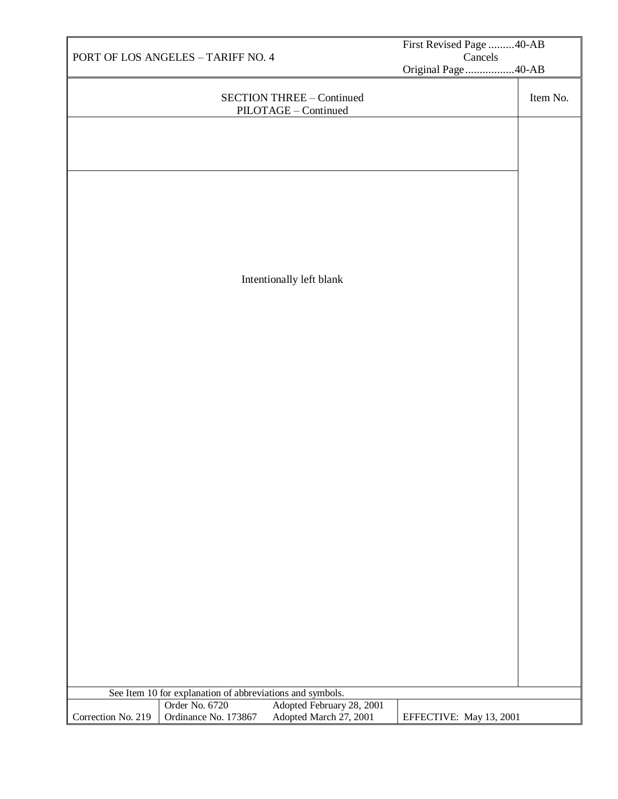|                                               |                                                                             |                                                   | First Revised Page 40-AB |          |
|-----------------------------------------------|-----------------------------------------------------------------------------|---------------------------------------------------|--------------------------|----------|
| PORT OF LOS ANGELES - TARIFF NO. 4<br>Cancels |                                                                             |                                                   |                          |          |
|                                               |                                                                             |                                                   | Original Page 40-AB      |          |
|                                               |                                                                             | SECTION THREE - Continued<br>PILOTAGE - Continued |                          | Item No. |
|                                               |                                                                             |                                                   |                          |          |
|                                               |                                                                             |                                                   |                          |          |
|                                               |                                                                             |                                                   |                          |          |
|                                               |                                                                             |                                                   |                          |          |
|                                               |                                                                             |                                                   |                          |          |
|                                               |                                                                             |                                                   |                          |          |
|                                               |                                                                             |                                                   |                          |          |
|                                               |                                                                             |                                                   |                          |          |
|                                               |                                                                             |                                                   |                          |          |
|                                               |                                                                             | Intentionally left blank                          |                          |          |
|                                               |                                                                             |                                                   |                          |          |
|                                               |                                                                             |                                                   |                          |          |
|                                               |                                                                             |                                                   |                          |          |
|                                               |                                                                             |                                                   |                          |          |
|                                               |                                                                             |                                                   |                          |          |
|                                               |                                                                             |                                                   |                          |          |
|                                               |                                                                             |                                                   |                          |          |
|                                               |                                                                             |                                                   |                          |          |
|                                               |                                                                             |                                                   |                          |          |
|                                               |                                                                             |                                                   |                          |          |
|                                               |                                                                             |                                                   |                          |          |
|                                               |                                                                             |                                                   |                          |          |
|                                               |                                                                             |                                                   |                          |          |
|                                               |                                                                             |                                                   |                          |          |
|                                               |                                                                             |                                                   |                          |          |
|                                               |                                                                             |                                                   |                          |          |
|                                               |                                                                             |                                                   |                          |          |
|                                               |                                                                             |                                                   |                          |          |
|                                               |                                                                             |                                                   |                          |          |
|                                               |                                                                             |                                                   |                          |          |
|                                               |                                                                             |                                                   |                          |          |
|                                               |                                                                             |                                                   |                          |          |
|                                               |                                                                             |                                                   |                          |          |
|                                               | See Item 10 for explanation of abbreviations and symbols.<br>Order No. 6720 | Adopted February 28, 2001                         |                          |          |
| Correction No. 219                            | Ordinance No. 173867                                                        | Adopted March 27, 2001                            | EFFECTIVE: May 13, 2001  |          |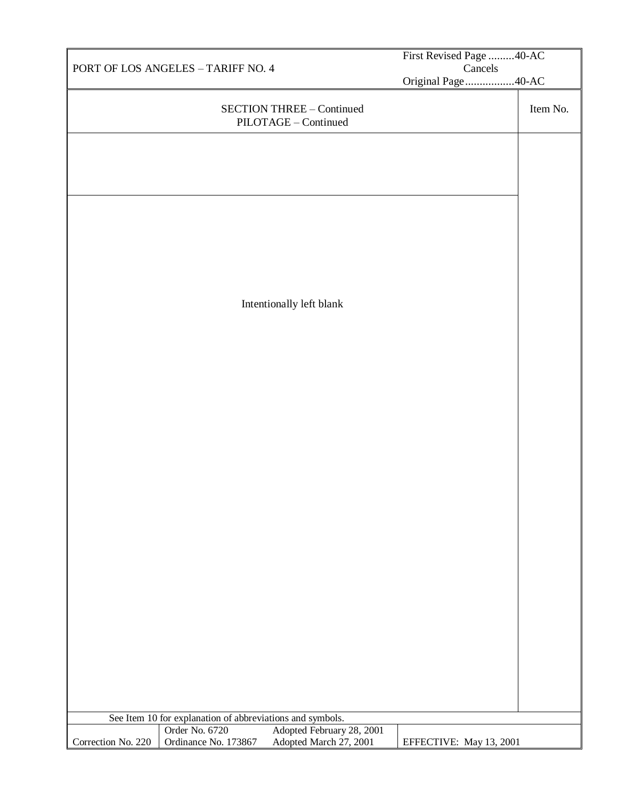|                                    |                                                           |                                                          | First Revised Page 40-AC |          |
|------------------------------------|-----------------------------------------------------------|----------------------------------------------------------|--------------------------|----------|
| PORT OF LOS ANGELES - TARIFF NO. 4 |                                                           | Cancels                                                  |                          |          |
|                                    |                                                           |                                                          | Original Page 40-AC      |          |
|                                    |                                                           | <b>SECTION THREE - Continued</b><br>PILOTAGE - Continued |                          | Item No. |
|                                    |                                                           |                                                          |                          |          |
|                                    |                                                           |                                                          |                          |          |
|                                    |                                                           |                                                          |                          |          |
|                                    |                                                           |                                                          |                          |          |
|                                    |                                                           |                                                          |                          |          |
|                                    |                                                           |                                                          |                          |          |
|                                    |                                                           |                                                          |                          |          |
|                                    |                                                           |                                                          |                          |          |
|                                    |                                                           | Intentionally left blank                                 |                          |          |
|                                    |                                                           |                                                          |                          |          |
|                                    |                                                           |                                                          |                          |          |
|                                    |                                                           |                                                          |                          |          |
|                                    |                                                           |                                                          |                          |          |
|                                    |                                                           |                                                          |                          |          |
|                                    |                                                           |                                                          |                          |          |
|                                    |                                                           |                                                          |                          |          |
|                                    |                                                           |                                                          |                          |          |
|                                    |                                                           |                                                          |                          |          |
|                                    |                                                           |                                                          |                          |          |
|                                    |                                                           |                                                          |                          |          |
|                                    |                                                           |                                                          |                          |          |
|                                    |                                                           |                                                          |                          |          |
|                                    |                                                           |                                                          |                          |          |
|                                    |                                                           |                                                          |                          |          |
|                                    |                                                           |                                                          |                          |          |
|                                    |                                                           |                                                          |                          |          |
|                                    |                                                           |                                                          |                          |          |
|                                    |                                                           |                                                          |                          |          |
|                                    |                                                           |                                                          |                          |          |
|                                    | See Item 10 for explanation of abbreviations and symbols. |                                                          |                          |          |
| Correction No. 220                 | Order No. 6720<br>Ordinance No. 173867                    | Adopted February 28, 2001<br>Adopted March 27, 2001      | EFFECTIVE: May 13, 2001  |          |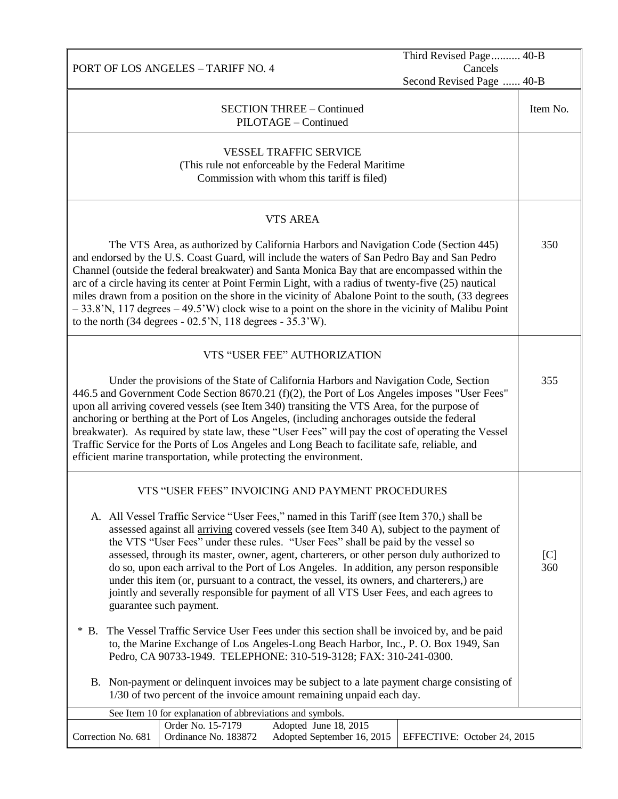PORT OF LOS ANGELES – TARIFF NO. 4 Third Revised Page.......... 40-B Cancels Second Revised Page ...... 40-B SECTION THREE – Continued PILOTAGE – Continued Item No. VESSEL TRAFFIC SERVICE (This rule not enforceable by the Federal Maritime Commission with whom this tariff is filed) VTS AREA The VTS Area, as authorized by California Harbors and Navigation Code (Section 445) and endorsed by the U.S. Coast Guard, will include the waters of San Pedro Bay and San Pedro Channel (outside the federal breakwater) and Santa Monica Bay that are encompassed within the arc of a circle having its center at Point Fermin Light, with a radius of twenty-five (25) nautical miles drawn from a position on the shore in the vicinity of Abalone Point to the south, (33 degrees  $-33.8$ 'N, 117 degrees  $-49.5$ 'W) clock wise to a point on the shore in the vicinity of Malibu Point to the north (34 degrees - 02.5'N, 118 degrees - 35.3'W). 350 VTS "USER FEE" AUTHORIZATION Under the provisions of the State of California Harbors and Navigation Code, Section 446.5 and Government Code Section 8670.21 (f)(2), the Port of Los Angeles imposes "User Fees" upon all arriving covered vessels (see Item 340) transiting the VTS Area, for the purpose of anchoring or berthing at the Port of Los Angeles, (including anchorages outside the federal breakwater). As required by state law, these "User Fees" will pay the cost of operating the Vessel Traffic Service for the Ports of Los Angeles and Long Beach to facilitate safe, reliable, and efficient marine transportation, while protecting the environment. 355 VTS "USER FEES" INVOICING AND PAYMENT PROCEDURES A. All Vessel Traffic Service "User Fees," named in this Tariff (see Item 370,) shall be assessed against all arriving covered vessels (see Item 340 A), subject to the payment of the VTS "User Fees" under these rules. "User Fees" shall be paid by the vessel so assessed, through its master, owner, agent, charterers, or other person duly authorized to do so, upon each arrival to the Port of Los Angeles. In addition, any person responsible under this item (or, pursuant to a contract, the vessel, its owners, and charterers,) are jointly and severally responsible for payment of all VTS User Fees, and each agrees to guarantee such payment. \* B. The Vessel Traffic Service User Fees under this section shall be invoiced by, and be paid to, the Marine Exchange of Los Angeles-Long Beach Harbor, Inc., P. O. Box 1949, San Pedro, CA 90733-1949. TELEPHONE: 310-519-3128; FAX: 310-241-0300. B. Non-payment or delinquent invoices may be subject to a late payment charge consisting of 1/30 of two percent of the invoice amount remaining unpaid each day. C.  $[C]$ 360 See Item 10 for explanation of abbreviations and symbols. Correction No. 681 Order No. 15-7179 Adopted June 18, 2015 Ordinance No. 183872 Adopted September 16, 2015 | EFFECTIVE: October 24, 2015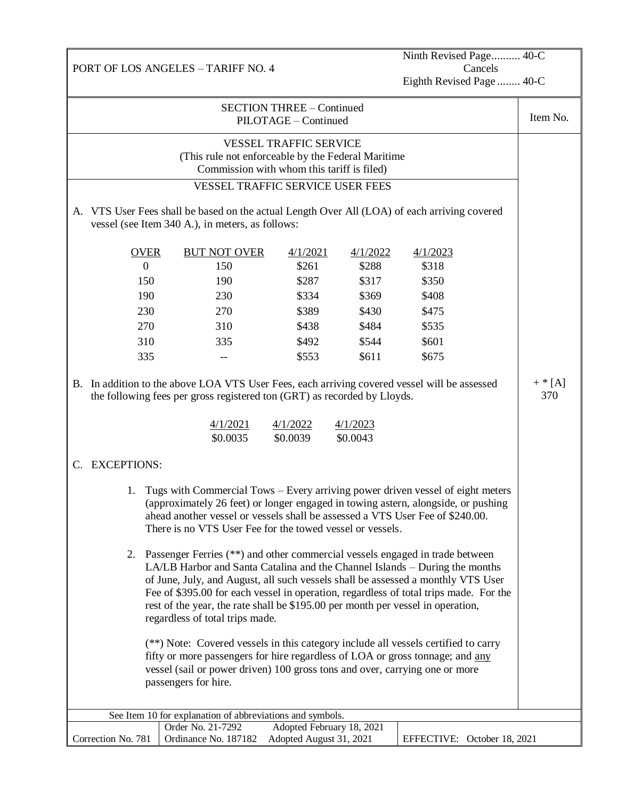Ninth Revised Page.......... 40-C Cancels Eighth Revised Page ........ 40-C

| <b>SECTION THREE - Continued</b><br>PILOTAGE - Continued |                                                                                                                                                                                                                                                                                                                                                                                                                                                                                                                                                                                                                                                                                                                                                                                                                                                                                                                                                                                                                                                                                              |                                                                                                                                                                                                  |                                                                         |                                                                         | Item No.                                                                |                  |
|----------------------------------------------------------|----------------------------------------------------------------------------------------------------------------------------------------------------------------------------------------------------------------------------------------------------------------------------------------------------------------------------------------------------------------------------------------------------------------------------------------------------------------------------------------------------------------------------------------------------------------------------------------------------------------------------------------------------------------------------------------------------------------------------------------------------------------------------------------------------------------------------------------------------------------------------------------------------------------------------------------------------------------------------------------------------------------------------------------------------------------------------------------------|--------------------------------------------------------------------------------------------------------------------------------------------------------------------------------------------------|-------------------------------------------------------------------------|-------------------------------------------------------------------------|-------------------------------------------------------------------------|------------------|
|                                                          | <b>VESSEL TRAFFIC SERVICE</b><br>(This rule not enforceable by the Federal Maritime)<br>Commission with whom this tariff is filed)<br><b>VESSEL TRAFFIC SERVICE USER FEES</b><br>A. VTS User Fees shall be based on the actual Length Over All (LOA) of each arriving covered<br>vessel (see Item 340 A.), in meters, as follows:                                                                                                                                                                                                                                                                                                                                                                                                                                                                                                                                                                                                                                                                                                                                                            |                                                                                                                                                                                                  |                                                                         |                                                                         |                                                                         |                  |
|                                                          | <b>OVER</b><br>$\boldsymbol{0}$<br>150<br>190<br>230<br>270<br>310<br>335                                                                                                                                                                                                                                                                                                                                                                                                                                                                                                                                                                                                                                                                                                                                                                                                                                                                                                                                                                                                                    | <b>BUT NOT OVER</b><br>150<br>190<br>230<br>270<br>310<br>335                                                                                                                                    | 4/1/2021<br>\$261<br>\$287<br>\$334<br>\$389<br>\$438<br>\$492<br>\$553 | 4/1/2022<br>\$288<br>\$317<br>\$369<br>\$430<br>\$484<br>\$544<br>\$611 | 4/1/2023<br>\$318<br>\$350<br>\$408<br>\$475<br>\$535<br>\$601<br>\$675 |                  |
|                                                          |                                                                                                                                                                                                                                                                                                                                                                                                                                                                                                                                                                                                                                                                                                                                                                                                                                                                                                                                                                                                                                                                                              | B. In addition to the above LOA VTS User Fees, each arriving covered vessel will be assessed<br>the following fees per gross registered ton (GRT) as recorded by Lloyds.<br>4/1/2021<br>\$0.0035 | 4/1/2022<br>\$0.0039                                                    | 4/1/2023<br>\$0.0043                                                    |                                                                         | $+$ * [A]<br>370 |
|                                                          | C. EXCEPTIONS:<br>Tugs with Commercial Tows – Every arriving power driven vessel of eight meters<br>1.<br>(approximately 26 feet) or longer engaged in towing astern, alongside, or pushing<br>ahead another vessel or vessels shall be assessed a VTS User Fee of \$240.00.<br>There is no VTS User Fee for the towed vessel or vessels.<br>2. Passenger Ferries (**) and other commercial vessels engaged in trade between<br>LA/LB Harbor and Santa Catalina and the Channel Islands - During the months<br>of June, July, and August, all such vessels shall be assessed a monthly VTS User<br>Fee of \$395.00 for each vessel in operation, regardless of total trips made. For the<br>rest of the year, the rate shall be \$195.00 per month per vessel in operation,<br>regardless of total trips made.<br>(**) Note: Covered vessels in this category include all vessels certified to carry<br>fifty or more passengers for hire regardless of LOA or gross tonnage; and any<br>vessel (sail or power driven) 100 gross tons and over, carrying one or more<br>passengers for hire. |                                                                                                                                                                                                  |                                                                         |                                                                         |                                                                         |                  |
|                                                          | See Item 10 for explanation of abbreviations and symbols.<br>Adopted February 18, 2021                                                                                                                                                                                                                                                                                                                                                                                                                                                                                                                                                                                                                                                                                                                                                                                                                                                                                                                                                                                                       |                                                                                                                                                                                                  |                                                                         |                                                                         |                                                                         |                  |
|                                                          | Correction No. 781                                                                                                                                                                                                                                                                                                                                                                                                                                                                                                                                                                                                                                                                                                                                                                                                                                                                                                                                                                                                                                                                           | Order No. 21-7292<br>Ordinance No. 187182                                                                                                                                                        | Adopted August 31, 2021                                                 |                                                                         | EFFECTIVE: October 18, 2021                                             |                  |

PORT OF LOS ANGELES – TARIFF NO. 4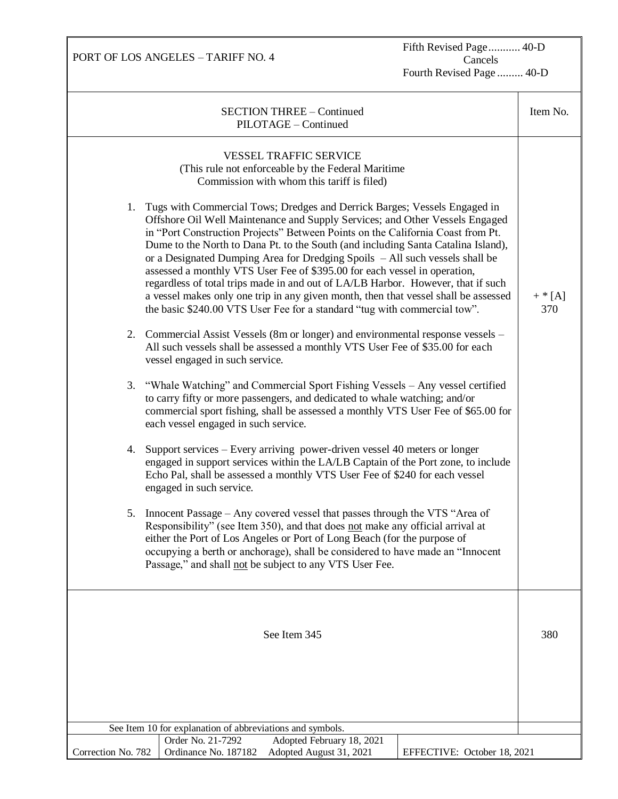Fifth Revised Page........... 40-D Cancels Fourth Revised Page ......... 40-D

| <b>SECTION THREE - Continued</b><br>PILOTAGE - Continued                                                                                                                                                                                                                                                                                                                                                                                                                                                                                                                                                                                                                                                                                                  | Item No.         |
|-----------------------------------------------------------------------------------------------------------------------------------------------------------------------------------------------------------------------------------------------------------------------------------------------------------------------------------------------------------------------------------------------------------------------------------------------------------------------------------------------------------------------------------------------------------------------------------------------------------------------------------------------------------------------------------------------------------------------------------------------------------|------------------|
| <b>VESSEL TRAFFIC SERVICE</b><br>(This rule not enforceable by the Federal Maritime<br>Commission with whom this tariff is filed)                                                                                                                                                                                                                                                                                                                                                                                                                                                                                                                                                                                                                         |                  |
| 1. Tugs with Commercial Tows; Dredges and Derrick Barges; Vessels Engaged in<br>Offshore Oil Well Maintenance and Supply Services; and Other Vessels Engaged<br>in "Port Construction Projects" Between Points on the California Coast from Pt.<br>Dume to the North to Dana Pt. to the South (and including Santa Catalina Island),<br>or a Designated Dumping Area for Dredging Spoils - All such vessels shall be<br>assessed a monthly VTS User Fee of \$395.00 for each vessel in operation,<br>regardless of total trips made in and out of LA/LB Harbor. However, that if such<br>a vessel makes only one trip in any given month, then that vessel shall be assessed<br>the basic \$240.00 VTS User Fee for a standard "tug with commercial tow". | $+$ * [A]<br>370 |
| 2. Commercial Assist Vessels (8m or longer) and environmental response vessels –<br>All such vessels shall be assessed a monthly VTS User Fee of \$35.00 for each<br>vessel engaged in such service.                                                                                                                                                                                                                                                                                                                                                                                                                                                                                                                                                      |                  |
| "Whale Watching" and Commercial Sport Fishing Vessels - Any vessel certified<br>3.<br>to carry fifty or more passengers, and dedicated to whale watching; and/or<br>commercial sport fishing, shall be assessed a monthly VTS User Fee of \$65.00 for<br>each vessel engaged in such service.                                                                                                                                                                                                                                                                                                                                                                                                                                                             |                  |
| 4. Support services – Every arriving power-driven vessel 40 meters or longer<br>engaged in support services within the LA/LB Captain of the Port zone, to include<br>Echo Pal, shall be assessed a monthly VTS User Fee of \$240 for each vessel<br>engaged in such service.                                                                                                                                                                                                                                                                                                                                                                                                                                                                              |                  |
| 5. Innocent Passage – Any covered vessel that passes through the VTS "Area of<br>Responsibility" (see Item 350), and that does not make any official arrival at<br>either the Port of Los Angeles or Port of Long Beach (for the purpose of<br>occupying a berth or anchorage), shall be considered to have made an "Innocent<br>Passage," and shall not be subject to any VTS User Fee.                                                                                                                                                                                                                                                                                                                                                                  |                  |
| See Item 345                                                                                                                                                                                                                                                                                                                                                                                                                                                                                                                                                                                                                                                                                                                                              | 380              |
|                                                                                                                                                                                                                                                                                                                                                                                                                                                                                                                                                                                                                                                                                                                                                           |                  |
| See Item 10 for explanation of abbreviations and symbols.                                                                                                                                                                                                                                                                                                                                                                                                                                                                                                                                                                                                                                                                                                 |                  |
| Order No. 21-7292<br>Adopted February 18, 2021<br>Ordinance No. 187182<br>Correction No. 782<br>Adopted August 31, 2021<br>EFFECTIVE: October 18, 2021                                                                                                                                                                                                                                                                                                                                                                                                                                                                                                                                                                                                    |                  |